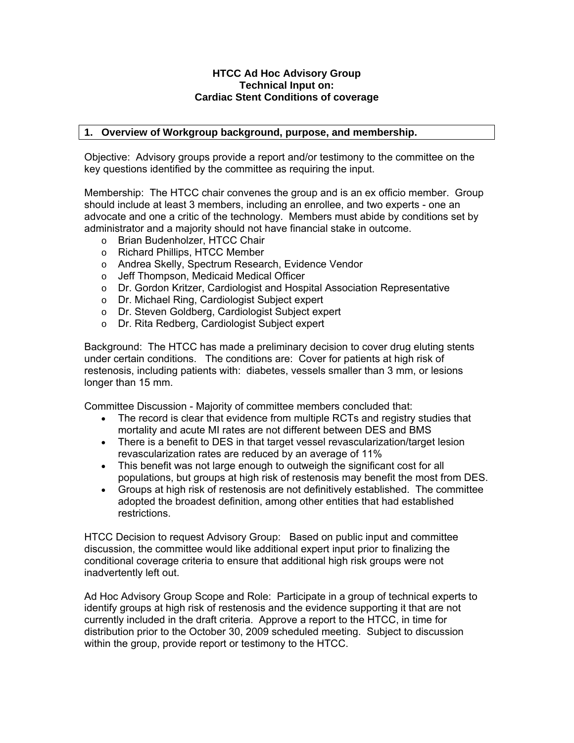#### **HTCC Ad Hoc Advisory Group Technical Input on: Cardiac Stent Conditions of coverage**

#### **1. Overview of Workgroup background, purpose, and membership.**

Objective: Advisory groups provide a report and/or testimony to the committee on the key questions identified by the committee as requiring the input.

Membership: The HTCC chair convenes the group and is an ex officio member. Group should include at least 3 members, including an enrollee, and two experts - one an advocate and one a critic of the technology. Members must abide by conditions set by administrator and a majority should not have financial stake in outcome.

- o Brian Budenholzer, HTCC Chair
- o Richard Phillips, HTCC Member
- o Andrea Skelly, Spectrum Research, Evidence Vendor
- o Jeff Thompson, Medicaid Medical Officer
- o Dr. Gordon Kritzer, Cardiologist and Hospital Association Representative
- o Dr. Michael Ring, Cardiologist Subject expert
- o Dr. Steven Goldberg, Cardiologist Subject expert
- o Dr. Rita Redberg, Cardiologist Subject expert

Background: The HTCC has made a preliminary decision to cover drug eluting stents under certain conditions. The conditions are: Cover for patients at high risk of restenosis, including patients with: diabetes, vessels smaller than 3 mm, or lesions longer than 15 mm.

Committee Discussion - Majority of committee members concluded that:

- The record is clear that evidence from multiple RCTs and registry studies that mortality and acute MI rates are not different between DES and BMS
- There is a benefit to DES in that target vessel revascularization/target lesion revascularization rates are reduced by an average of 11%
- This benefit was not large enough to outweigh the significant cost for all populations, but groups at high risk of restenosis may benefit the most from DES.
- Groups at high risk of restenosis are not definitively established. The committee adopted the broadest definition, among other entities that had established restrictions.

HTCC Decision to request Advisory Group: Based on public input and committee discussion, the committee would like additional expert input prior to finalizing the conditional coverage criteria to ensure that additional high risk groups were not inadvertently left out.

Ad Hoc Advisory Group Scope and Role: Participate in a group of technical experts to identify groups at high risk of restenosis and the evidence supporting it that are not currently included in the draft criteria. Approve a report to the HTCC, in time for distribution prior to the October 30, 2009 scheduled meeting. Subject to discussion within the group, provide report or testimony to the HTCC.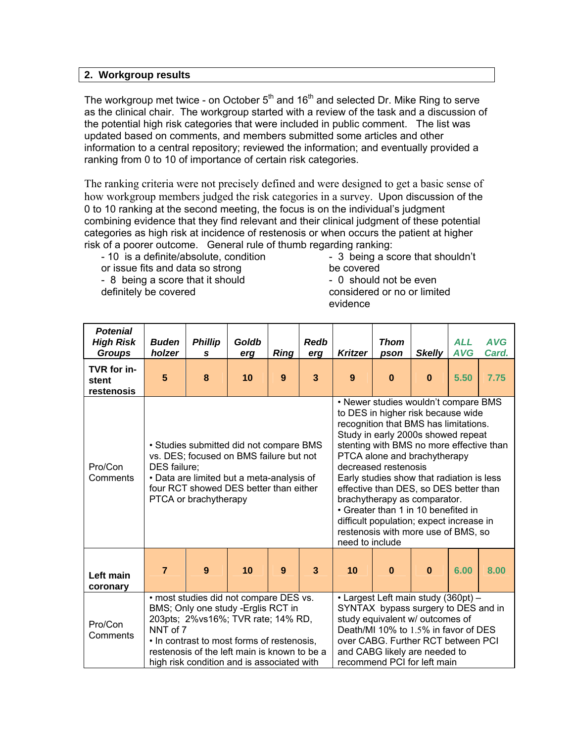#### **2. Workgroup results**

The workgroup met twice - on October  $5<sup>th</sup>$  and 16<sup>th</sup> and selected Dr. Mike Ring to serve as the clinical chair. The workgroup started with a review of the task and a discussion of the potential high risk categories that were included in public comment. The list was updated based on comments, and members submitted some articles and other information to a central repository; reviewed the information; and eventually provided a ranking from 0 to 10 of importance of certain risk categories.

The ranking criteria were not precisely defined and were designed to get a basic sense of how workgroup members judged the risk categories in a survey. Upon discussion of the 0 to 10 ranking at the second meeting, the focus is on the individual's judgment combining evidence that they find relevant and their clinical judgment of these potential categories as high risk at incidence of restenosis or when occurs the patient at higher risk of a poorer outcome. General rule of thumb regarding ranking:

- 10 is a definite/absolute, condition or issue fits and data so strong - 8 being a score that it should definitely be covered

- 3 being a score that shouldn't be covered - 0 should not be even

considered or no or limited evidence

| <b>Potenial</b><br><b>High Risk</b><br><b>Groups</b> | <b>Buden</b><br>holzer                                                                                                                                                                                                                                                                                                                                                                                                                                                                                                                    | <b>Phillip</b><br>S                                                                                                                                                                                | Goldb<br>erg | <b>Ring</b> | <b>Redb</b><br>erg | <b>Kritzer</b>                                                                                                                                                                                                                                                                                                                                                                                                                                                                                                                    | <b>Thom</b><br>pson | <b>Skelly</b> | <b>ALL</b><br><b>AVG</b> | <b>AVG</b><br>Card. |
|------------------------------------------------------|-------------------------------------------------------------------------------------------------------------------------------------------------------------------------------------------------------------------------------------------------------------------------------------------------------------------------------------------------------------------------------------------------------------------------------------------------------------------------------------------------------------------------------------------|----------------------------------------------------------------------------------------------------------------------------------------------------------------------------------------------------|--------------|-------------|--------------------|-----------------------------------------------------------------------------------------------------------------------------------------------------------------------------------------------------------------------------------------------------------------------------------------------------------------------------------------------------------------------------------------------------------------------------------------------------------------------------------------------------------------------------------|---------------------|---------------|--------------------------|---------------------|
| TVR for in-<br>stent<br>restenosis                   | 5                                                                                                                                                                                                                                                                                                                                                                                                                                                                                                                                         | 8                                                                                                                                                                                                  | 10           | 9           | 3                  | 9                                                                                                                                                                                                                                                                                                                                                                                                                                                                                                                                 | $\bf{0}$            | $\bf{0}$      | 5.50                     | 7.75                |
| Pro/Con<br>Comments                                  | DES failure;                                                                                                                                                                                                                                                                                                                                                                                                                                                                                                                              | • Studies submitted did not compare BMS<br>vs. DES; focused on BMS failure but not<br>• Data are limited but a meta-analysis of<br>four RCT showed DES better than either<br>PTCA or brachytherapy |              |             |                    | • Newer studies wouldn't compare BMS<br>to DES in higher risk because wide<br>recognition that BMS has limitations.<br>Study in early 2000s showed repeat<br>stenting with BMS no more effective than<br>PTCA alone and brachytherapy<br>decreased restenosis<br>Early studies show that radiation is less<br>effective than DES, so DES better than<br>brachytherapy as comparator.<br>• Greater than 1 in 10 benefited in<br>difficult population; expect increase in<br>restenosis with more use of BMS, so<br>need to include |                     |               |                          |                     |
| Left main<br>coronary                                | $\overline{7}$                                                                                                                                                                                                                                                                                                                                                                                                                                                                                                                            | 9                                                                                                                                                                                                  | 10           | 9           | 3                  | 10                                                                                                                                                                                                                                                                                                                                                                                                                                                                                                                                | $\bf{0}$            | $\bf{0}$      | 6.00                     | 8.00                |
| Pro/Con<br>Comments                                  | · most studies did not compare DES vs.<br>• Largest Left main study (360pt) -<br>BMS; Only one study -Erglis RCT in<br>SYNTAX bypass surgery to DES and in<br>203pts; 2%vs16%; TVR rate; 14% RD,<br>study equivalent w/ outcomes of<br>NNT of 7<br>Death/MI 10% to 1.5% in favor of DES<br>over CABG. Further RCT between PCI<br>. In contrast to most forms of restenosis,<br>restenosis of the left main is known to be a<br>and CABG likely are needed to<br>recommend PCI for left main<br>high risk condition and is associated with |                                                                                                                                                                                                    |              |             |                    |                                                                                                                                                                                                                                                                                                                                                                                                                                                                                                                                   |                     |               |                          |                     |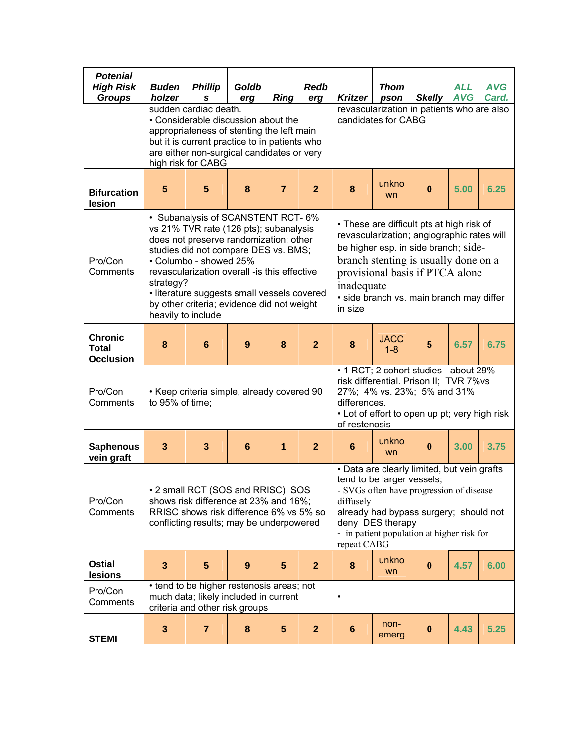| <b>Potenial</b><br><b>High Risk</b><br><b>Groups</b> | <b>Buden</b><br>holzer                                                                                                                                                                                                                                                                                                                                                                                                                                                                                                                                                                                                                                     | <b>Phillip</b><br>S                                                                                                  | Goldb<br>erg    | <b>Ring</b>    | <b>Redb</b><br>erg                                                                                                                                                                                                                                                                                                                                   | <b>Kritzer</b>                                   | <b>Thom</b><br>pson                                                                                                                                             | <b>Skelly</b> | <b>ALL</b><br><b>AVG</b> | <b>AVG</b><br>Card. |
|------------------------------------------------------|------------------------------------------------------------------------------------------------------------------------------------------------------------------------------------------------------------------------------------------------------------------------------------------------------------------------------------------------------------------------------------------------------------------------------------------------------------------------------------------------------------------------------------------------------------------------------------------------------------------------------------------------------------|----------------------------------------------------------------------------------------------------------------------|-----------------|----------------|------------------------------------------------------------------------------------------------------------------------------------------------------------------------------------------------------------------------------------------------------------------------------------------------------------------------------------------------------|--------------------------------------------------|-----------------------------------------------------------------------------------------------------------------------------------------------------------------|---------------|--------------------------|---------------------|
|                                                      | sudden cardiac death.<br>• Considerable discussion about the<br>appropriateness of stenting the left main<br>but it is current practice to in patients who<br>are either non-surgical candidates or very<br>high risk for CABG                                                                                                                                                                                                                                                                                                                                                                                                                             |                                                                                                                      |                 |                |                                                                                                                                                                                                                                                                                                                                                      |                                                  | revascularization in patients who are also<br>candidates for CABG                                                                                               |               |                          |                     |
| <b>Bifurcation</b><br>lesion                         | 5                                                                                                                                                                                                                                                                                                                                                                                                                                                                                                                                                                                                                                                          | $5\phantom{1}$                                                                                                       | 8               | $\overline{7}$ | $\overline{2}$                                                                                                                                                                                                                                                                                                                                       | unkno<br>5.00<br>8<br>$\bf{0}$<br>6.25<br>wn     |                                                                                                                                                                 |               |                          |                     |
| Pro/Con<br>Comments                                  | • Subanalysis of SCANSTENT RCT-6%<br>• These are difficult pts at high risk of<br>vs 21% TVR rate (126 pts); subanalysis<br>revascularization; angiographic rates will<br>does not preserve randomization; other<br>be higher esp. in side branch; side-<br>studies did not compare DES vs. BMS;<br>branch stenting is usually done on a<br>• Columbo - showed 25%<br>revascularization overall -is this effective<br>provisional basis if PTCA alone<br>strategy?<br>inadequate<br>· literature suggests small vessels covered<br>· side branch vs. main branch may differ<br>by other criteria; evidence did not weight<br>in size<br>heavily to include |                                                                                                                      |                 |                |                                                                                                                                                                                                                                                                                                                                                      |                                                  |                                                                                                                                                                 |               |                          |                     |
| <b>Chronic</b><br><b>Total</b><br><b>Occlusion</b>   | 8                                                                                                                                                                                                                                                                                                                                                                                                                                                                                                                                                                                                                                                          | $6\phantom{1}$                                                                                                       | 9               | 8              | $\overline{2}$                                                                                                                                                                                                                                                                                                                                       | <b>JACC</b><br>5<br>6.57<br>6.75<br>8<br>$1 - 8$ |                                                                                                                                                                 |               |                          |                     |
| Pro/Con<br>Comments                                  | to 95% of time;                                                                                                                                                                                                                                                                                                                                                                                                                                                                                                                                                                                                                                            | • Keep criteria simple, already covered 90                                                                           |                 |                |                                                                                                                                                                                                                                                                                                                                                      | differences.<br>of restenosis                    | • 1 RCT; 2 cohort studies - about 29%<br>risk differential. Prison II; TVR 7%vs<br>27%; 4% vs. 23%; 5% and 31%<br>• Lot of effort to open up pt; very high risk |               |                          |                     |
| <b>Saphenous</b><br>vein graft                       | $\overline{\mathbf{3}}$                                                                                                                                                                                                                                                                                                                                                                                                                                                                                                                                                                                                                                    | $\overline{\mathbf{3}}$                                                                                              | $6\phantom{1}6$ | 1              | $\overline{2}$                                                                                                                                                                                                                                                                                                                                       | 6                                                | unkno<br>wn                                                                                                                                                     | $\bf{0}$      | 3.00                     | 3.75                |
| Pro/Con<br>Comments                                  |                                                                                                                                                                                                                                                                                                                                                                                                                                                                                                                                                                                                                                                            | • 2 small RCT (SOS and RRISC) SOS<br>shows risk difference at 23% and 16%;                                           |                 |                | · Data are clearly limited, but vein grafts<br>tend to be larger vessels;<br>- SVGs often have progression of disease<br>diffusely<br>RRISC shows risk difference 6% vs 5% so<br>already had bypass surgery; should not<br>conflicting results; may be underpowered<br>deny DES therapy<br>- in patient population at higher risk for<br>repeat CABG |                                                  |                                                                                                                                                                 |               |                          |                     |
| <b>Ostial</b><br>lesions                             | 3                                                                                                                                                                                                                                                                                                                                                                                                                                                                                                                                                                                                                                                          | $5\phantom{1}$                                                                                                       | 9               | 5              | $\mathbf{2}$                                                                                                                                                                                                                                                                                                                                         | 8                                                | unkno<br>wn                                                                                                                                                     | $\bf{0}$      | 4.57                     | 6.00                |
| Pro/Con<br>Comments                                  |                                                                                                                                                                                                                                                                                                                                                                                                                                                                                                                                                                                                                                                            | • tend to be higher restenosis areas; not<br>much data; likely included in current<br>criteria and other risk groups |                 |                |                                                                                                                                                                                                                                                                                                                                                      | $\bullet$                                        |                                                                                                                                                                 |               |                          |                     |
| <b>STEMI</b>                                         | 3                                                                                                                                                                                                                                                                                                                                                                                                                                                                                                                                                                                                                                                          | $\overline{7}$                                                                                                       | 8               | $5\phantom{.}$ | $\overline{2}$                                                                                                                                                                                                                                                                                                                                       | $6\phantom{1}$                                   | non-<br>emerg                                                                                                                                                   | $\bf{0}$      | 4.43                     | 5.25                |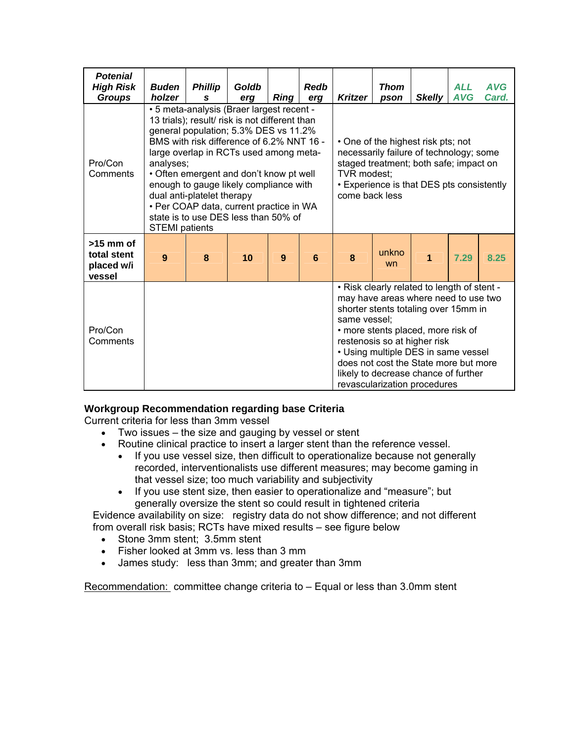| <b>Potenial</b><br><b>High Risk</b><br><b>Groups</b> | <b>Buden</b><br>holzer                                                                                                                                                                                                                                                                                                                                                                                                                                                  | <b>Phillip</b><br>S | Goldb<br>erg | Ring | <b>Redb</b><br>erg                                                                                                                                                                                                                                                                                                                                                        | <b>Kritzer</b> | <b>Thom</b><br>pson | <b>Skelly</b> | <b>ALL</b><br><b>AVG</b> | <b>AVG</b><br>Card. |
|------------------------------------------------------|-------------------------------------------------------------------------------------------------------------------------------------------------------------------------------------------------------------------------------------------------------------------------------------------------------------------------------------------------------------------------------------------------------------------------------------------------------------------------|---------------------|--------------|------|---------------------------------------------------------------------------------------------------------------------------------------------------------------------------------------------------------------------------------------------------------------------------------------------------------------------------------------------------------------------------|----------------|---------------------|---------------|--------------------------|---------------------|
| Pro/Con<br>Comments                                  | • 5 meta-analysis (Braer largest recent -<br>13 trials); result/ risk is not different than<br>general population; 5.3% DES vs 11.2%<br>BMS with risk difference of 6.2% NNT 16 -<br>large overlap in RCTs used among meta-<br>analyses;<br>• Often emergent and don't know pt well<br>enough to gauge likely compliance with<br>dual anti-platelet therapy<br>• Per COAP data, current practice in WA<br>state is to use DES less than 50% of<br><b>STEMI</b> patients |                     |              |      | • One of the highest risk pts; not<br>necessarily failure of technology; some<br>staged treatment; both safe; impact on<br>TVR modest:<br>• Experience is that DES pts consistently<br>come back less                                                                                                                                                                     |                |                     |               |                          |                     |
| $>15$ mm of<br>total stent<br>placed w/i<br>vessel   | 9                                                                                                                                                                                                                                                                                                                                                                                                                                                                       | 8                   | 10           | 9    | 6                                                                                                                                                                                                                                                                                                                                                                         | 8              | unkno<br>wn         | 1             | 7.29                     | 8.25                |
| Pro/Con<br>Comments                                  |                                                                                                                                                                                                                                                                                                                                                                                                                                                                         |                     |              |      | . Risk clearly related to length of stent -<br>may have areas where need to use two<br>shorter stents totaling over 15mm in<br>same vessel:<br>• more stents placed, more risk of<br>restenosis so at higher risk<br>• Using multiple DES in same vessel<br>does not cost the State more but more<br>likely to decrease chance of further<br>revascularization procedures |                |                     |               |                          |                     |

#### **Workgroup Recommendation regarding base Criteria**

Current criteria for less than 3mm vessel

- Two issues the size and gauging by vessel or stent
- Routine clinical practice to insert a larger stent than the reference vessel.
	- If you use vessel size, then difficult to operationalize because not generally recorded, interventionalists use different measures; may become gaming in that vessel size; too much variability and subjectivity
	- If you use stent size, then easier to operationalize and "measure"; but generally oversize the stent so could result in tightened criteria

Evidence availability on size: registry data do not show difference; and not different from overall risk basis; RCTs have mixed results – see figure below

- Stone 3mm stent; 3.5mm stent
- Fisher looked at 3mm vs. less than 3 mm
- James study: less than 3mm; and greater than 3mm

Recommendation: committee change criteria to – Equal or less than 3.0mm stent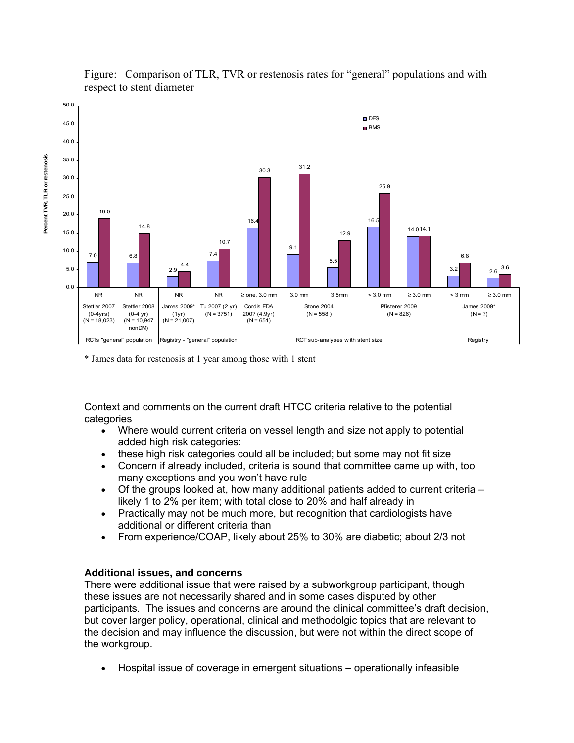

#### Figure: Comparison of TLR, TVR or restenosis rates for "general" populations and with respect to stent diameter

\* James data for restenosis at 1 year among those with 1 stent

Context and comments on the current draft HTCC criteria relative to the potential categories

- Where would current criteria on vessel length and size not apply to potential added high risk categories:
- these high risk categories could all be included; but some may not fit size
- Concern if already included, criteria is sound that committee came up with, too many exceptions and you won't have rule
- Of the groups looked at, how many additional patients added to current criteria  $$ likely 1 to 2% per item; with total close to 20% and half already in
- Practically may not be much more, but recognition that cardiologists have additional or different criteria than
- From experience/COAP, likely about 25% to 30% are diabetic; about 2/3 not

#### **Additional issues, and concerns**

There were additional issue that were raised by a subworkgroup participant, though these issues are not necessarily shared and in some cases disputed by other participants. The issues and concerns are around the clinical committee's draft decision, but cover larger policy, operational, clinical and methodolgic topics that are relevant to the decision and may influence the discussion, but were not within the direct scope of the workgroup.

• Hospital issue of coverage in emergent situations – operationally infeasible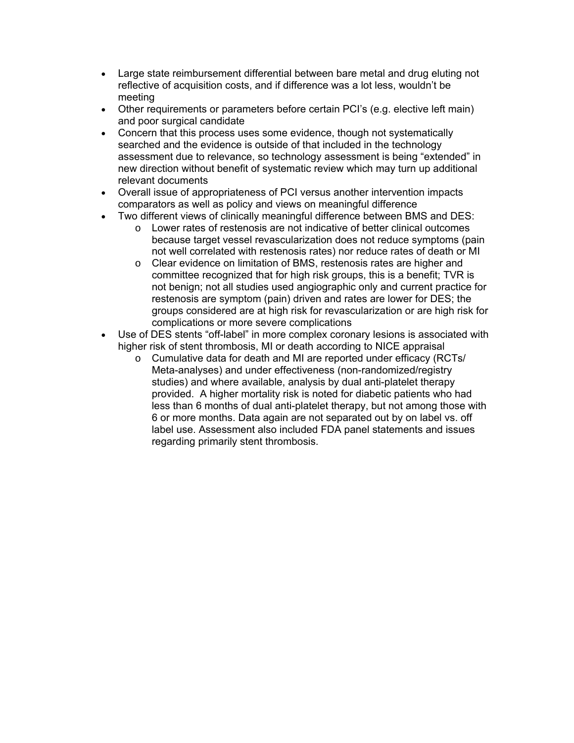- Large state reimbursement differential between bare metal and drug eluting not reflective of acquisition costs, and if difference was a lot less, wouldn't be meeting
- Other requirements or parameters before certain PCI's (e.g. elective left main) and poor surgical candidate
- Concern that this process uses some evidence, though not systematically searched and the evidence is outside of that included in the technology assessment due to relevance, so technology assessment is being "extended" in new direction without benefit of systematic review which may turn up additional relevant documents
- Overall issue of appropriateness of PCI versus another intervention impacts comparators as well as policy and views on meaningful difference
- Two different views of clinically meaningful difference between BMS and DES:
	- o Lower rates of restenosis are not indicative of better clinical outcomes because target vessel revascularization does not reduce symptoms (pain not well correlated with restenosis rates) nor reduce rates of death or MI
	- o Clear evidence on limitation of BMS, restenosis rates are higher and committee recognized that for high risk groups, this is a benefit; TVR is not benign; not all studies used angiographic only and current practice for restenosis are symptom (pain) driven and rates are lower for DES; the groups considered are at high risk for revascularization or are high risk for complications or more severe complications
- Use of DES stents "off-label" in more complex coronary lesions is associated with higher risk of stent thrombosis, MI or death according to NICE appraisal
	- o Cumulative data for death and MI are reported under efficacy (RCTs/ Meta-analyses) and under effectiveness (non-randomized/registry studies) and where available, analysis by dual anti-platelet therapy provided. A higher mortality risk is noted for diabetic patients who had less than 6 months of dual anti-platelet therapy, but not among those with 6 or more months. Data again are not separated out by on label vs. off label use. Assessment also included FDA panel statements and issues regarding primarily stent thrombosis.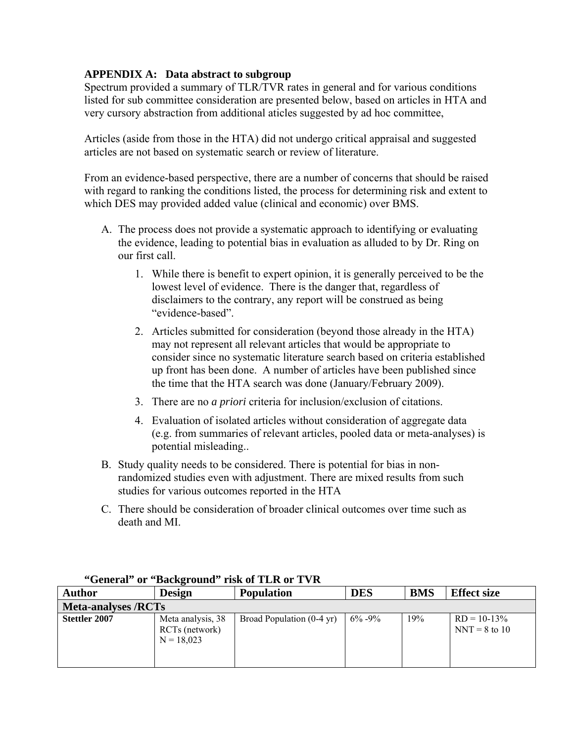#### **APPENDIX A: Data abstract to subgroup**

Spectrum provided a summary of TLR/TVR rates in general and for various conditions listed for sub committee consideration are presented below, based on articles in HTA and very cursory abstraction from additional aticles suggested by ad hoc committee,

Articles (aside from those in the HTA) did not undergo critical appraisal and suggested articles are not based on systematic search or review of literature.

From an evidence-based perspective, there are a number of concerns that should be raised with regard to ranking the conditions listed, the process for determining risk and extent to which DES may provided added value (clinical and economic) over BMS.

- A. The process does not provide a systematic approach to identifying or evaluating the evidence, leading to potential bias in evaluation as alluded to by Dr. Ring on our first call.
	- 1. While there is benefit to expert opinion, it is generally perceived to be the lowest level of evidence. There is the danger that, regardless of disclaimers to the contrary, any report will be construed as being "evidence-based".
	- 2. Articles submitted for consideration (beyond those already in the HTA) may not represent all relevant articles that would be appropriate to consider since no systematic literature search based on criteria established up front has been done. A number of articles have been published since the time that the HTA search was done (January/February 2009).
	- 3. There are no *a priori* criteria for inclusion/exclusion of citations.
	- 4. Evaluation of isolated articles without consideration of aggregate data (e.g. from summaries of relevant articles, pooled data or meta-analyses) is potential misleading..
- B. Study quality needs to be considered. There is potential for bias in nonrandomized studies even with adjustment. There are mixed results from such studies for various outcomes reported in the HTA
- C. There should be consideration of broader clinical outcomes over time such as death and MI.

| <b>Author</b>              | <b>Design</b>                                       | <b>Population</b>         | <b>DES</b>  | <b>BMS</b> | <b>Effect size</b>                |  |  |  |  |
|----------------------------|-----------------------------------------------------|---------------------------|-------------|------------|-----------------------------------|--|--|--|--|
| <b>Meta-analyses /RCTs</b> |                                                     |                           |             |            |                                   |  |  |  |  |
| Stettler 2007              | Meta analysis, 38<br>RCTs (network)<br>$N = 18.023$ | Broad Population (0-4 yr) | $6\% - 9\%$ | 19%        | $RD = 10-13\%$<br>$NNT = 8$ to 10 |  |  |  |  |

#### **"General" or "Background" risk of TLR or TVR**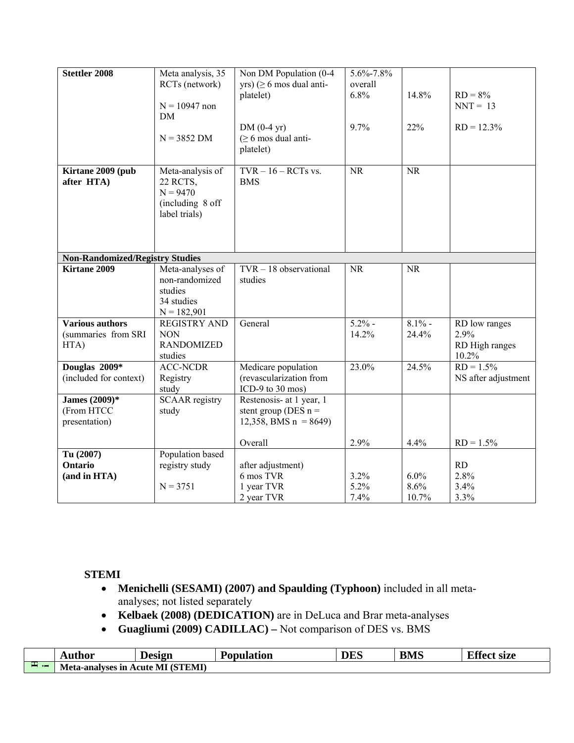| <b>Stettler 2008</b>                                                      | Meta analysis, 35<br>RCTs (network)<br>$N = 10947$ non<br><b>DM</b><br>$N = 3852$ DM | Non DM Population (0-4<br>yrs) ( $\geq 6$ mos dual anti-<br>platelet)<br>$DM(0-4 yr)$<br>$($ $\geq 6$ mos dual anti-<br>platelet) | 5.6%-7.8%<br>overall<br>6.8%<br>9.7% | 14.8%<br>22%       | $RD = 8%$<br>$NNT = 13$<br>$RD = 12.3\%$         |
|---------------------------------------------------------------------------|--------------------------------------------------------------------------------------|-----------------------------------------------------------------------------------------------------------------------------------|--------------------------------------|--------------------|--------------------------------------------------|
| Kirtane 2009 (pub<br>after HTA)<br><b>Non-Randomized/Registry Studies</b> | Meta-analysis of<br>22 RCTS,<br>$N = 9470$<br>(including 8 off<br>label trials)      | $TVR - 16 - RCTs$ vs.<br><b>BMS</b>                                                                                               | <b>NR</b>                            | <b>NR</b>          |                                                  |
| Kirtane 2009                                                              | Meta-analyses of<br>non-randomized<br>studies<br>34 studies<br>$N = 182,901$         | $TVR - 18$ observational<br>studies                                                                                               | <b>NR</b>                            | <b>NR</b>          |                                                  |
| <b>Various authors</b><br>(summaries from SRI<br>HTA)                     | <b>REGISTRY AND</b><br><b>NON</b><br><b>RANDOMIZED</b><br>studies                    | General                                                                                                                           | $5.2\%$ -<br>14.2%                   | $8.1\%$ -<br>24.4% | RD low ranges<br>2.9%<br>RD High ranges<br>10.2% |
| Douglas $200\overline{9*}$<br>(included for context)                      | <b>ACC-NCDR</b><br>Registry<br>study                                                 | Medicare population<br>(revascularization from<br>ICD-9 to 30 mos)                                                                | 23.0%                                | 24.5%              | $RD = 1.5\%$<br>NS after adjustment              |
| James (2009)*<br>(From HTCC<br>presentation)                              | <b>SCAAR</b> registry<br>study                                                       | Restenosis- at 1 year, 1<br>stent group (DES $n =$<br>12,358, BMS $n = 8649$ )                                                    |                                      |                    |                                                  |
|                                                                           |                                                                                      | Overall                                                                                                                           | 2.9%                                 | 4.4%               | $RD = 1.5\%$                                     |
| Tu (2007)<br>Ontario<br>(and in HTA)                                      | Population based<br>registry study<br>$N = 3751$                                     | after adjustment)<br>6 mos TVR<br>1 year TVR                                                                                      | 3.2%<br>5.2%                         | 6.0%<br>8.6%       | RD<br>2.8%<br>3.4%                               |
|                                                                           |                                                                                      | 2 year TVR                                                                                                                        | 7.4%                                 | 10.7%              | 3.3%                                             |

#### **STEMI**

- **Menichelli (SESAMI) (2007) and Spaulding (Typhoon)** included in all metaanalyses; not listed separately
- **Kelbaek (2008) (DEDICATION)** are in DeLuca and Brar meta-analyses
- **Guagliumi (2009) CADILLAC)** Not comparison of DES vs. BMS

|           | Author                 | Design                        | Population | <b>DES</b> | <b>BMS</b> | $Tff_{\alpha\alpha}$<br>- 6170<br><b>U</b> SILU |
|-----------|------------------------|-------------------------------|------------|------------|------------|-------------------------------------------------|
| $-1$<br>. | Meta-<br>.-analvses in | (STEMI)<br>ML<br><b>\cute</b> |            |            |            |                                                 |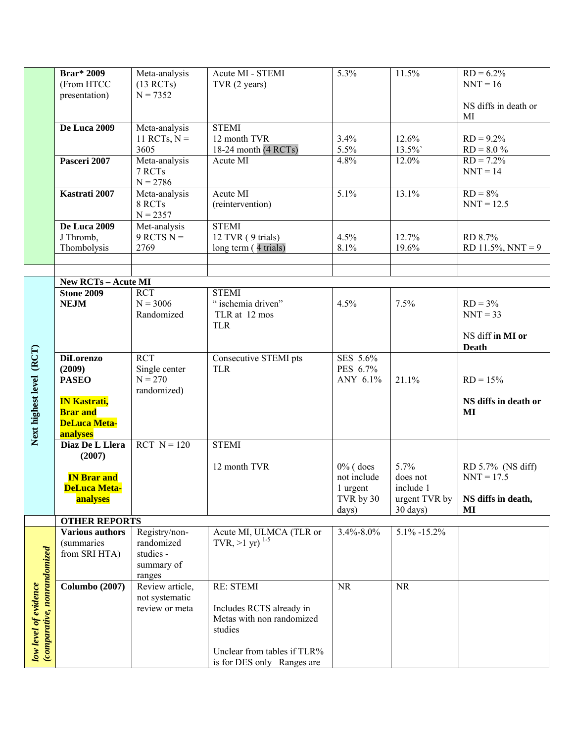|                                                      | <b>Brar</b> * 2009<br>(From HTCC<br>presentation)                         | Meta-analysis<br>(13 RCTs)<br>$N = 7352$                         | Acute MI - STEMI<br>TVR (2 years)                                                                                                                  | 5.3%                                                         | 11.5%                                                      | $RD = 6.2\%$<br>$NNT = 16$<br>NS diffs in death or            |
|------------------------------------------------------|---------------------------------------------------------------------------|------------------------------------------------------------------|----------------------------------------------------------------------------------------------------------------------------------------------------|--------------------------------------------------------------|------------------------------------------------------------|---------------------------------------------------------------|
|                                                      | De Luca 2009                                                              | Meta-analysis<br>11 RCTs, $N =$<br>3605                          | <b>STEMI</b><br>12 month TVR<br>18-24 month $(4 RCTs)$                                                                                             | 3.4%<br>5.5%                                                 | 12.6%<br>13.5%                                             | MI<br>$RD = 9.2\%$<br>$RD = 8.0 \%$                           |
|                                                      | Pasceri 2007                                                              | Meta-analysis<br>7 RCTs<br>$N = 2786$                            | Acute MI                                                                                                                                           | 4.8%                                                         | 12.0%                                                      | $RD = 7.2\%$<br>$NNT = 14$                                    |
|                                                      | Kastrati 2007                                                             | Meta-analysis<br>8 RCTs<br>$N = 2357$                            | Acute MI<br>(reintervention)                                                                                                                       | 5.1%                                                         | 13.1%                                                      | $RD = 8\%$<br>$NNT = 12.5$                                    |
|                                                      | De Luca 2009<br>J Thromb,<br>Thombolysis                                  | Met-analysis<br>$9$ RCTS N =<br>2769                             | <b>STEMI</b><br>12 TVR (9 trials)<br>long term (4 trials)                                                                                          | 4.5%<br>8.1%                                                 | 12.7%<br>19.6%                                             | RD 8.7%<br>$RD$ 11.5%, NNT = 9                                |
|                                                      |                                                                           |                                                                  |                                                                                                                                                    |                                                              |                                                            |                                                               |
|                                                      | <b>New RCTs - Acute MI</b>                                                |                                                                  |                                                                                                                                                    |                                                              |                                                            |                                                               |
|                                                      | <b>Stone 2009</b><br><b>NEJM</b>                                          | <b>RCT</b><br>$N = 3006$<br>Randomized                           | <b>STEMI</b><br>" ischemia driven"<br>TLR at 12 mos<br><b>TLR</b>                                                                                  | 4.5%                                                         | 7.5%                                                       | $RD = 3%$<br>$NNT = 33$<br>NS diff in MI or                   |
|                                                      |                                                                           |                                                                  |                                                                                                                                                    |                                                              |                                                            | <b>Death</b>                                                  |
|                                                      | <b>DiLorenzo</b><br>(2009)<br><b>PASEO</b>                                | <b>RCT</b><br>Single center<br>$N = 270$<br>randomized)          | Consecutive STEMI pts<br><b>TLR</b>                                                                                                                | SES 5.6%<br>PES 6.7%<br>ANY 6.1%                             | 21.1%                                                      | $RD = 15%$                                                    |
| Next highest level (RCT)                             | <b>IN Kastrati,</b><br><b>Brar</b> and<br><b>DeLuca Meta-</b><br>analyses |                                                                  |                                                                                                                                                    |                                                              |                                                            | NS diffs in death or<br>MI                                    |
|                                                      | Diaz De L Llera<br>(2007)                                                 | $RCT N = 120$                                                    | <b>STEMI</b>                                                                                                                                       |                                                              |                                                            |                                                               |
|                                                      | <b>IN Brar and</b><br><b>DeLuca Meta-</b><br>analyses                     |                                                                  | 12 month TVR                                                                                                                                       | $0\%$ (does<br>not include<br>1 urgent<br>TVR by 30<br>days) | 5.7%<br>does not<br>include 1<br>urgent TVR by<br>30 days) | RD 5.7% (NS diff)<br>$NNT = 17.5$<br>NS diffs in death,<br>MI |
|                                                      | <b>OTHER REPORTS</b>                                                      |                                                                  |                                                                                                                                                    |                                                              |                                                            |                                                               |
|                                                      | <b>Various authors</b><br><i>(summaries)</i><br>from SRI HTA)             | Registry/non-<br>randomized<br>studies -<br>summary of<br>ranges | Acute MI, ULMCA (TLR or<br>TVR, $>1$ yr) <sup>1-5</sup>                                                                                            | 3.4%-8.0%                                                    | $5.1\% - 15.2\%$                                           |                                                               |
| low level of evidence<br>(comparative, nonrandomized | <b>Columbo</b> (2007)                                                     | Review article,<br>not systematic<br>review or meta              | <b>RE: STEMI</b><br>Includes RCTS already in<br>Metas with non randomized<br>studies<br>Unclear from tables if TLR%<br>is for DES only -Ranges are | <b>NR</b>                                                    | $\rm NR$                                                   |                                                               |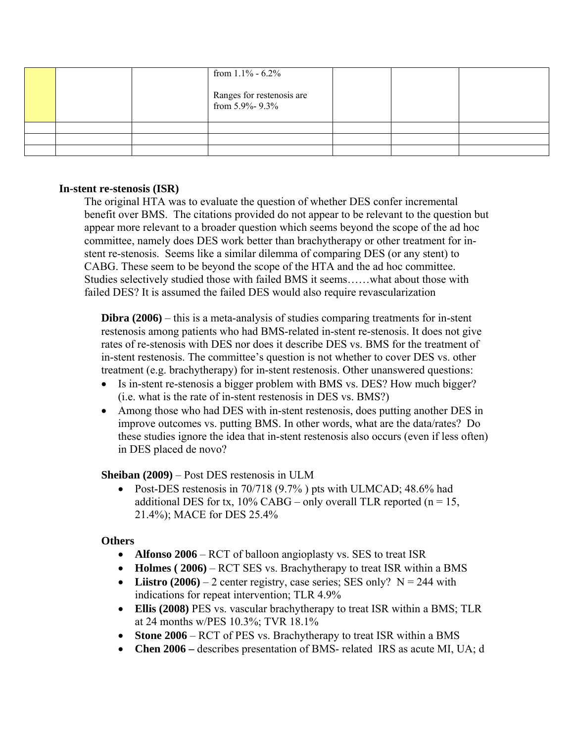|  | from $1.1\%$ - 6.2%<br>Ranges for restenosis are<br>from 5.9%-9.3% |  |  |
|--|--------------------------------------------------------------------|--|--|
|  |                                                                    |  |  |
|  |                                                                    |  |  |
|  |                                                                    |  |  |

#### **In-stent re-stenosis (ISR)**

The original HTA was to evaluate the question of whether DES confer incremental benefit over BMS. The citations provided do not appear to be relevant to the question but appear more relevant to a broader question which seems beyond the scope of the ad hoc committee, namely does DES work better than brachytherapy or other treatment for instent re-stenosis. Seems like a similar dilemma of comparing DES (or any stent) to CABG. These seem to be beyond the scope of the HTA and the ad hoc committee. Studies selectively studied those with failed BMS it seems……what about those with failed DES? It is assumed the failed DES would also require revascularization

**Dibra (2006)** – this is a meta-analysis of studies comparing treatments for in-stent restenosis among patients who had BMS-related in-stent re-stenosis. It does not give rates of re-stenosis with DES nor does it describe DES vs. BMS for the treatment of in-stent restenosis. The committee's question is not whether to cover DES vs. other treatment (e.g. brachytherapy) for in-stent restenosis. Other unanswered questions:

- Is in-stent re-stenosis a bigger problem with BMS vs. DES? How much bigger? (i.e. what is the rate of in-stent restenosis in DES vs. BMS?)
- Among those who had DES with in-stent restenosis, does putting another DES in improve outcomes vs. putting BMS. In other words, what are the data/rates? Do these studies ignore the idea that in-stent restenosis also occurs (even if less often) in DES placed de novo?

#### **Sheiban (2009)** – Post DES restenosis in ULM

• Post-DES restenosis in 70/718 (9.7%) pts with ULMCAD; 48.6% had additional DES for tx,  $10\%$  CABG – only overall TLR reported (n = 15, 21.4%); MACE for DES 25.4%

#### **Others**

- **Alfonso 2006** RCT of balloon angioplasty vs. SES to treat ISR
- **Holmes (2006)** RCT SES vs. Brachytherapy to treat ISR within a BMS
- Liistro  $(2006) 2$  center registry, case series; SES only?  $N = 244$  with indications for repeat intervention; TLR 4.9%
- **Ellis (2008)** PES vs. vascular brachytherapy to treat ISR within a BMS; TLR at 24 months w/PES 10.3%; TVR 18.1%
- **Stone 2006** RCT of PES vs. Brachytherapy to treat ISR within a BMS
- **Chen 2006** describes presentation of BMS- related IRS as acute MI, UA; d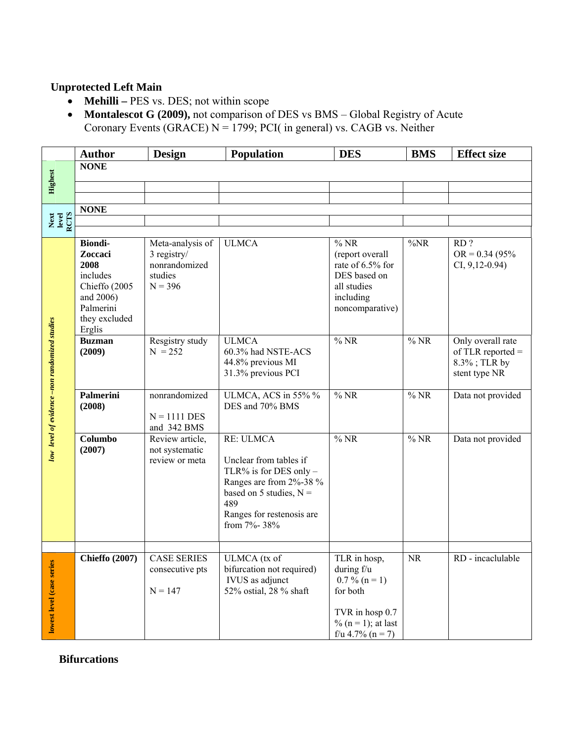### **Unprotected Left Main**

- **Mehilli –** PES vs. DES; not within scope
- **Montalescot G (2009),** not comparison of DES vs BMS Global Registry of Acute Coronary Events (GRACE)  $N = 1799$ ; PCI( in general) vs. CAGB vs. Neither

|                                               | <b>Author</b>                                                                                             | <b>Design</b>                                                            | <b>Population</b>                                                                                                                                                        | <b>DES</b>                                                                                                                   | <b>BMS</b>                 | <b>Effect size</b>                                                        |
|-----------------------------------------------|-----------------------------------------------------------------------------------------------------------|--------------------------------------------------------------------------|--------------------------------------------------------------------------------------------------------------------------------------------------------------------------|------------------------------------------------------------------------------------------------------------------------------|----------------------------|---------------------------------------------------------------------------|
|                                               | <b>NONE</b>                                                                                               |                                                                          |                                                                                                                                                                          |                                                                                                                              |                            |                                                                           |
| <b>Highest</b>                                |                                                                                                           |                                                                          |                                                                                                                                                                          |                                                                                                                              |                            |                                                                           |
|                                               |                                                                                                           |                                                                          |                                                                                                                                                                          |                                                                                                                              |                            |                                                                           |
|                                               | <b>NONE</b>                                                                                               |                                                                          |                                                                                                                                                                          |                                                                                                                              |                            |                                                                           |
| Next<br>Level<br>RCTS                         |                                                                                                           |                                                                          |                                                                                                                                                                          |                                                                                                                              |                            |                                                                           |
|                                               |                                                                                                           |                                                                          |                                                                                                                                                                          |                                                                                                                              |                            |                                                                           |
|                                               | <b>Biondi-</b><br>Zoccaci<br>2008<br>includes<br>Chieffo (2005<br>and 2006)<br>Palmerini<br>they excluded | Meta-analysis of<br>3 registry/<br>nonrandomized<br>studies<br>$N = 396$ | <b>ULMCA</b>                                                                                                                                                             | %NR<br>(report overall<br>rate of 6.5% for<br>DES based on<br>all studies<br>including<br>noncomparative)                    | $\%NR$                     | RD?<br>$OR = 0.34 (95\%$<br>$CI, 9,12-0.94$                               |
| low level of evidence -non randomized studies | Erglis<br><b>Buzman</b><br>(2009)                                                                         | Resgistry study<br>$N = 252$                                             | <b>ULMCA</b><br>60.3% had NSTE-ACS<br>44.8% previous MI<br>31.3% previous PCI                                                                                            | %NR                                                                                                                          | $\overline{\frac{9}{6}NR}$ | Only overall rate<br>of TLR reported $=$<br>8.3%; TLR by<br>stent type NR |
|                                               | Palmerini<br>(2008)                                                                                       | nonrandomized<br>$N = 1111$ DES<br>and 342 BMS                           | ULMCA, ACS in 55% %<br>DES and 70% BMS                                                                                                                                   | %NR                                                                                                                          | %NR                        | Data not provided                                                         |
|                                               | Columbo<br>(2007)                                                                                         | Review article,<br>not systematic<br>review or meta                      | RE: ULMCA<br>Unclear from tables if<br>TLR% is for DES only -<br>Ranges are from 2%-38 %<br>based on 5 studies, $N =$<br>489<br>Ranges for restenosis are<br>from 7%-38% | %NR                                                                                                                          | %NR                        | Data not provided                                                         |
|                                               |                                                                                                           |                                                                          |                                                                                                                                                                          |                                                                                                                              |                            |                                                                           |
| lowest level (case series                     | <b>Chieffo</b> (2007)                                                                                     | <b>CASE SERIES</b><br>consecutive pts<br>$N = 147$                       | ULMCA (tx of<br>bifurcation not required)<br>IVUS as adjunct<br>52% ostial, 28 % shaft                                                                                   | TLR in hosp,<br>during $f/u$<br>$0.7\%$ (n = 1)<br>for both<br>TVR in hosp 0.7<br>% ( $n = 1$ ); at last<br>f/u 4.7% (n = 7) | <b>NR</b>                  | RD - incaclulable                                                         |

**Bifurcations**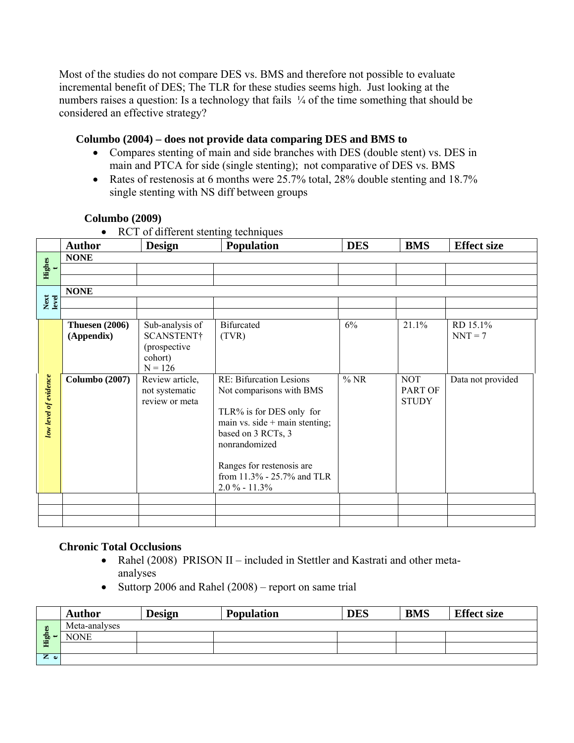Most of the studies do not compare DES vs. BMS and therefore not possible to evaluate incremental benefit of DES; The TLR for these studies seems high. Just looking at the numbers raises a question: Is a technology that fails  $\frac{1}{4}$  of the time something that should be considered an effective strategy?

#### **Columbo (2004) – does not provide data comparing DES and BMS to**

- Compares stenting of main and side branches with DES (double stent) vs. DES in main and PTCA for side (single stenting); not comparative of DES vs. BMS
- Rates of restenosis at 6 months were 25.7% total, 28% double stenting and 18.7% single stenting with NS diff between groups

|                       | RU I OI GIFFER STEALING TECHNIQUES |                 |                                  |            |              |                    |  |  |  |  |  |
|-----------------------|------------------------------------|-----------------|----------------------------------|------------|--------------|--------------------|--|--|--|--|--|
|                       | <b>Author</b>                      | <b>Design</b>   | Population                       | <b>DES</b> | <b>BMS</b>   | <b>Effect size</b> |  |  |  |  |  |
|                       | <b>NONE</b>                        |                 |                                  |            |              |                    |  |  |  |  |  |
| Highes                |                                    |                 |                                  |            |              |                    |  |  |  |  |  |
|                       |                                    |                 |                                  |            |              |                    |  |  |  |  |  |
|                       | <b>NONE</b>                        |                 |                                  |            |              |                    |  |  |  |  |  |
| Next<br>level         |                                    |                 |                                  |            |              |                    |  |  |  |  |  |
|                       |                                    |                 |                                  |            |              |                    |  |  |  |  |  |
|                       | <b>Thuesen</b> (2006)              | Sub-analysis of | Bifurcated                       | 6%         | 21.1%        | RD 15.1%           |  |  |  |  |  |
|                       | (Appendix)                         | SCANSTENT†      | (TVR)                            |            |              | $NNT = 7$          |  |  |  |  |  |
|                       |                                    | (prospective    |                                  |            |              |                    |  |  |  |  |  |
|                       |                                    | cohort)         |                                  |            |              |                    |  |  |  |  |  |
|                       |                                    | $N = 126$       |                                  |            |              |                    |  |  |  |  |  |
|                       | <b>Columbo</b> (2007)              | Review article, | RE: Bifurcation Lesions          | %NR        | <b>NOT</b>   | Data not provided  |  |  |  |  |  |
| low level of evidence |                                    | not systematic  | Not comparisons with BMS         |            | PART OF      |                    |  |  |  |  |  |
|                       |                                    | review or meta  |                                  |            | <b>STUDY</b> |                    |  |  |  |  |  |
|                       |                                    |                 | TLR% is for DES only for         |            |              |                    |  |  |  |  |  |
|                       |                                    |                 | main vs. side $+$ main stenting; |            |              |                    |  |  |  |  |  |
|                       |                                    |                 | based on 3 RCTs, 3               |            |              |                    |  |  |  |  |  |
|                       |                                    |                 | nonrandomized                    |            |              |                    |  |  |  |  |  |
|                       |                                    |                 |                                  |            |              |                    |  |  |  |  |  |
|                       |                                    |                 | Ranges for restenosis are        |            |              |                    |  |  |  |  |  |
|                       |                                    |                 | from 11.3% - 25.7% and TLR       |            |              |                    |  |  |  |  |  |
|                       |                                    |                 | $2.0\% - 11.3\%$                 |            |              |                    |  |  |  |  |  |
|                       |                                    |                 |                                  |            |              |                    |  |  |  |  |  |
|                       |                                    |                 |                                  |            |              |                    |  |  |  |  |  |
|                       |                                    |                 |                                  |            |              |                    |  |  |  |  |  |

#### **Columbo (2009)**   $\overrightarrow{R}$

#### **Chronic Total Occlusions**

- Rahel (2008) PRISON II included in Stettler and Kastrati and other metaanalyses
- Suttorp 2006 and Rahel (2008) report on same trial

|              | <b>Author</b> | <b>Design</b> | <b>Population</b> | <b>DES</b> | <b>BMS</b> | <b>Effect size</b> |
|--------------|---------------|---------------|-------------------|------------|------------|--------------------|
|              | Meta-analyses |               |                   |            |            |                    |
| High         | NONE          |               |                   |            |            |                    |
|              |               |               |                   |            |            |                    |
| $Z$ $\omega$ |               |               |                   |            |            |                    |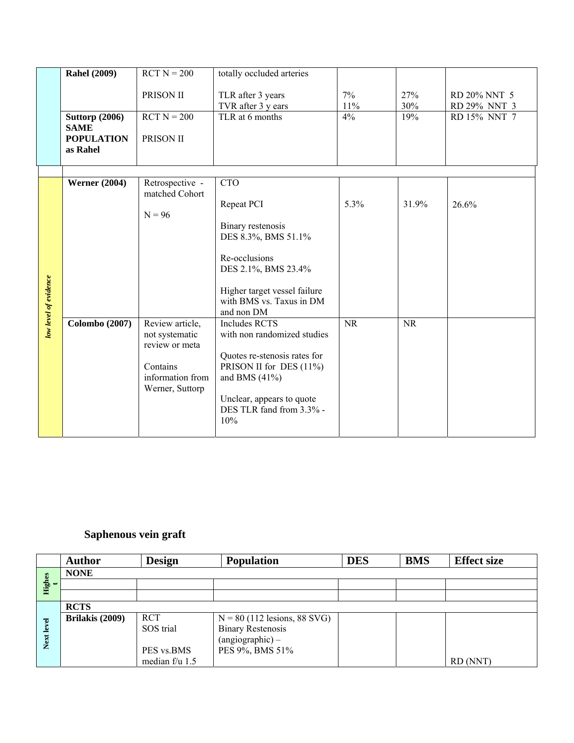|                       | <b>Rahel (2009)</b>                                                   | $RCT N = 200$                                                                                                                                           | totally occluded arteries                                                                                                                                                                                                                                                                                                                                                                    |                   |                    |                                              |
|-----------------------|-----------------------------------------------------------------------|---------------------------------------------------------------------------------------------------------------------------------------------------------|----------------------------------------------------------------------------------------------------------------------------------------------------------------------------------------------------------------------------------------------------------------------------------------------------------------------------------------------------------------------------------------------|-------------------|--------------------|----------------------------------------------|
|                       | <b>Suttorp (2006)</b><br><b>SAME</b><br><b>POPULATION</b><br>as Rahel | PRISON II<br>$RCT N = 200$<br>PRISON II                                                                                                                 | TLR after 3 years<br>TVR after 3 y ears<br>TLR at 6 months                                                                                                                                                                                                                                                                                                                                   | 7%<br>11%<br>4%   | 27%<br>30%<br>19%  | RD 20% NNT 5<br>RD 29% NNT 3<br>RD 15% NNT 7 |
| low level of evidence | <b>Werner (2004)</b><br><b>Colombo</b> (2007)                         | Retrospective -<br>matched Cohort<br>$N = 96$<br>Review article,<br>not systematic<br>review or meta<br>Contains<br>information from<br>Werner, Suttorp | <b>CTO</b><br>Repeat PCI<br>Binary restenosis<br>DES 8.3%, BMS 51.1%<br>Re-occlusions<br>DES 2.1%, BMS 23.4%<br>Higher target vessel failure<br>with BMS vs. Taxus in DM<br>and non DM<br><b>Includes RCTS</b><br>with non randomized studies<br>Quotes re-stenosis rates for<br>PRISON II for DES (11%)<br>and BMS $(41\%)$<br>Unclear, appears to quote<br>DES TLR fand from 3.3% -<br>10% | 5.3%<br><b>NR</b> | 31.9%<br><b>NR</b> | 26.6%                                        |

## **Saphenous vein graft**

|               | <b>Author</b>   | <b>Design</b>  | <b>Population</b>              | <b>DES</b> | <b>BMS</b> | <b>Effect size</b> |
|---------------|-----------------|----------------|--------------------------------|------------|------------|--------------------|
|               | <b>NONE</b>     |                |                                |            |            |                    |
| $\frac{4}{t}$ |                 |                |                                |            |            |                    |
|               |                 |                |                                |            |            |                    |
|               | <b>RCTS</b>     |                |                                |            |            |                    |
|               | Brilakis (2009) | <b>RCT</b>     | $N = 80$ (112 lesions, 88 SVG) |            |            |                    |
| level         |                 | SOS trial      | <b>Binary Restenosis</b>       |            |            |                    |
| Next          |                 |                | $(\text{angiographic}) -$      |            |            |                    |
|               |                 | PES vs.BMS     | PES 9%, BMS 51%                |            |            |                    |
|               |                 | median f/u 1.5 |                                |            |            | RD (NNT)           |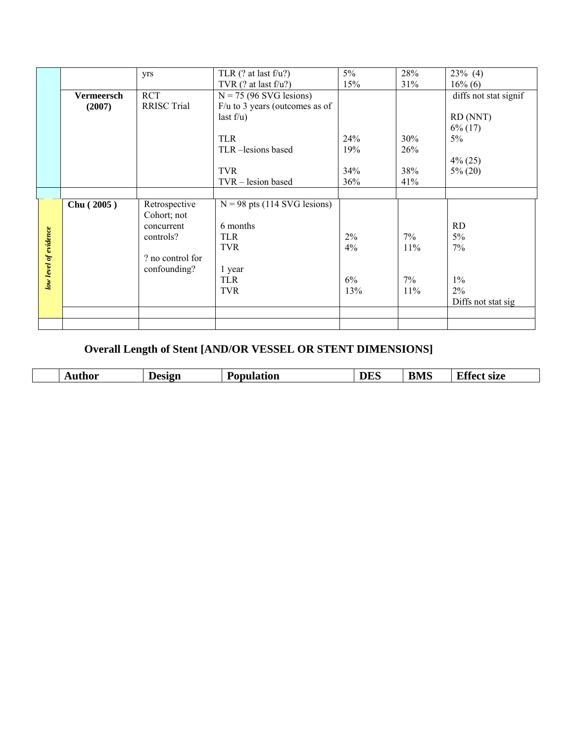|                       |                   | yrs                | TLR $($ ? at last f/u?)          | $5\%$ | 28% | $23\%$ (4)            |
|-----------------------|-------------------|--------------------|----------------------------------|-------|-----|-----------------------|
|                       |                   |                    | TVR $($ ? at last f/u?)          | 15%   | 31% | $16\%$ (6)            |
|                       | <b>Vermeersch</b> | <b>RCT</b>         | $N = 75$ (96 SVG lesions)        |       |     | diffs not stat signif |
|                       | (2007)            | <b>RRISC Trial</b> | $F/u$ to 3 years (outcomes as of |       |     |                       |
|                       |                   |                    | last $f/u$ )                     |       |     | RD (NNT)              |
|                       |                   |                    |                                  |       |     | $6\%$ (17)            |
|                       |                   |                    | <b>TLR</b>                       | 24%   | 30% | 5%                    |
|                       |                   |                    | TLR-lesions based                | 19%   | 26% |                       |
|                       |                   |                    |                                  |       |     | $4\%$ (25)            |
|                       |                   |                    | <b>TVR</b>                       | 34%   | 38% | $5\%$ (20)            |
|                       |                   |                    | TVR - lesion based               | 36%   | 41% |                       |
|                       |                   |                    |                                  |       |     |                       |
|                       | Chu (2005)        | Retrospective      | $N = 98$ pts (114 SVG lesions)   |       |     |                       |
|                       |                   | Cohort; not        |                                  |       |     |                       |
|                       |                   | concurrent         | 6 months                         |       |     | <b>RD</b>             |
| low level of evidence |                   | controls?          | <b>TLR</b>                       | 2%    | 7%  | $5\%$                 |
|                       |                   |                    | <b>TVR</b>                       | 4%    | 11% | 7%                    |
|                       |                   | ? no control for   |                                  |       |     |                       |
|                       |                   | confounding?       | 1 year                           |       |     |                       |
|                       |                   |                    | <b>TLR</b>                       | 6%    | 7%  | $1\%$                 |
|                       |                   |                    | <b>TVR</b>                       | 13%   | 11% | 2%                    |
|                       |                   |                    |                                  |       |     | Diffs not stat sig    |
|                       |                   |                    |                                  |       |     |                       |
|                       |                   |                    |                                  |       |     |                       |

## **Overall Length of Stent [AND/OR VESSEL OR STENT DIMENSIONS]**

| ----<br>n AR<br>. .<br>۱н<br>N/L'<br>$-$ 2003 $-$<br>9170<br>$\sim$ $\sim$<br>״מ<br>0.121<br>'ILIN<br><br>-<br>-<br>$\sim$<br>$ -$<br>$\sim$<br>__<br>___ |
|-----------------------------------------------------------------------------------------------------------------------------------------------------------|
|-----------------------------------------------------------------------------------------------------------------------------------------------------------|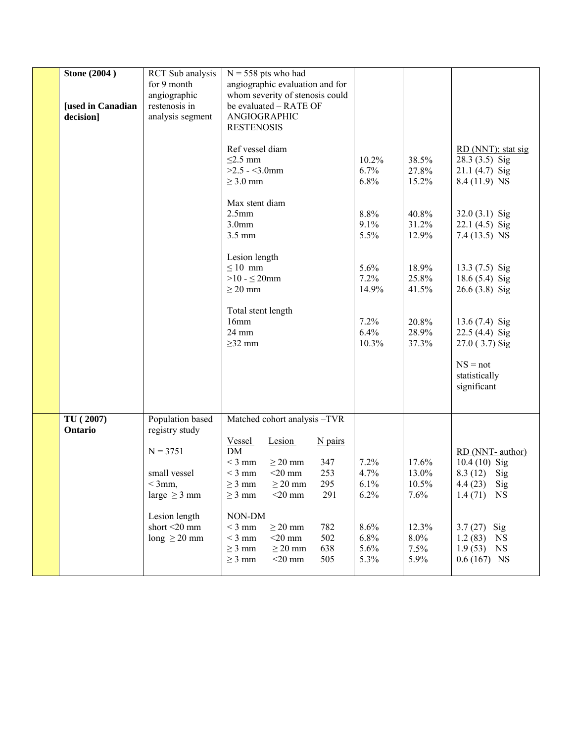| <b>Stone (2004)</b><br><b>[used in Canadian</b><br>decision] | RCT Sub analysis<br>for 9 month<br>angiographic<br>restenosis in<br>analysis segment                                                                    | $N = 558$ pts who had<br>angiographic evaluation and for<br>whom severity of stenosis could<br>be evaluated - RATE OF<br>ANGIOGRAPHIC<br><b>RESTENOSIS</b><br>Ref vessel diam<br>$\leq$ 2.5 mm<br>$>2.5 - 3.0$ mm<br>$\geq$ 3.0 mm<br>Max stent diam<br>2.5 <sub>mm</sub><br>3.0 <sub>mm</sub><br>3.5 mm<br>Lesion length<br>$\leq 10$ mm<br>$>10 - 520$ mm<br>$\geq$ 20 mm<br>Total stent length<br>16mm<br>24 mm<br>$\geq$ 32 mm | 10.2%<br>6.7%<br>6.8%<br>8.8%<br>9.1%<br>5.5%<br>5.6%<br>7.2%<br>14.9%<br>7.2%<br>6.4%<br>10.3% | 38.5%<br>27.8%<br>15.2%<br>40.8%<br>31.2%<br>12.9%<br>18.9%<br>25.8%<br>41.5%<br>20.8%<br>28.9%<br>37.3% | RD (NNT); stat sig<br>28.3 (3.5) Sig<br>$21.1(4.7)$ Sig<br>8.4 (11.9) NS<br>$32.0(3.1)$ Sig<br>$22.1(4.5)$ Sig<br>$7.4(13.5)$ NS<br>$13.3(7.5)$ Sig<br>18.6 (5.4) Sig<br>26.6 (3.8) Sig<br>$13.6(7.4)$ Sig<br>22.5 (4.4) Sig<br>$27.0$ (3.7) Sig |
|--------------------------------------------------------------|---------------------------------------------------------------------------------------------------------------------------------------------------------|------------------------------------------------------------------------------------------------------------------------------------------------------------------------------------------------------------------------------------------------------------------------------------------------------------------------------------------------------------------------------------------------------------------------------------|-------------------------------------------------------------------------------------------------|----------------------------------------------------------------------------------------------------------|--------------------------------------------------------------------------------------------------------------------------------------------------------------------------------------------------------------------------------------------------|
|                                                              |                                                                                                                                                         |                                                                                                                                                                                                                                                                                                                                                                                                                                    |                                                                                                 |                                                                                                          | $NS = not$<br>statistically<br>significant                                                                                                                                                                                                       |
| TU (2007)<br>Ontario                                         | Population based<br>registry study<br>$N = 3751$<br>small vessel<br>$<$ 3mm,<br>large $\geq$ 3 mm<br>Lesion length<br>short <20 mm<br>long $\geq$ 20 mm | Matched cohort analysis -TVR<br>Lesion<br>$N$ pairs<br><u>Vessel</u><br><b>DM</b><br>$<$ 3 mm<br>$\geq$ 20 mm<br>347<br>253<br>$<$ 3 mm<br>$<$ 20 mm<br>295<br>$\geq$ 20 mm<br>$\geq$ 3 mm<br>$<$ 20 mm<br>291<br>$\geq$ 3 mm<br>NON-DM<br>$<3~\mathrm{mm}$<br>$\geq$ 20 mm<br>782<br>502<br>$<$ 3 mm<br>$<$ 20 mm<br>638<br>$\geq$ 3 mm<br>$\geq$ 20 mm<br>505<br>$\geq$ 3 mm<br>$<$ 20 mm                                        | 7.2%<br>4.7%<br>6.1%<br>6.2%<br>8.6%<br>6.8%<br>5.6%<br>5.3%                                    | 17.6%<br>13.0%<br>10.5%<br>7.6%<br>12.3%<br>$8.0\%$<br>7.5%<br>5.9%                                      | RD (NNT-author)<br>$10.4(10)$ Sig<br>8.3 (12) Sig<br>4.4(23)<br>Sig<br>$1.4(71)$ NS<br>3.7 $(27)$ Sig<br>1.2(83)<br>NS<br>1.9(53)<br>NS<br>$0.6(167)$ NS                                                                                         |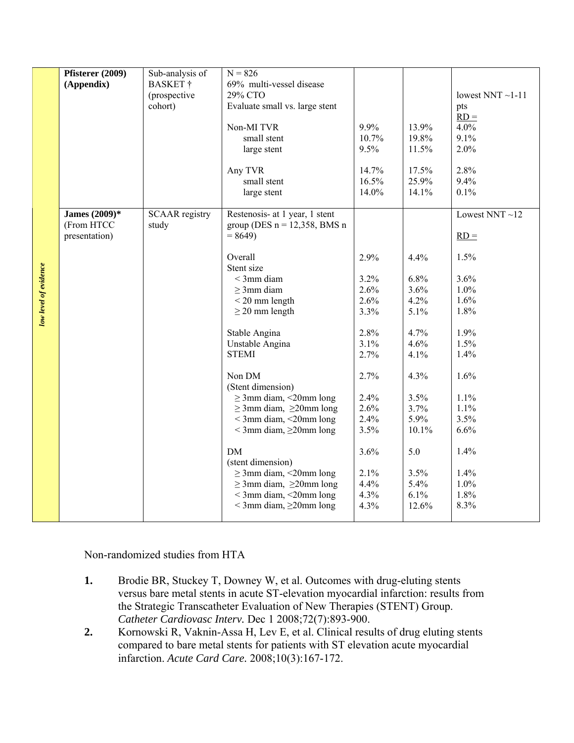|                       | Pfisterer (2009) | Sub-analysis of       | $N = 826$                         |       |       |                        |
|-----------------------|------------------|-----------------------|-----------------------------------|-------|-------|------------------------|
|                       | (Appendix)       | <b>BASKET</b> †       | 69% multi-vessel disease          |       |       |                        |
|                       |                  | (prospective          | 29% CTO                           |       |       | lowest NNT $\sim$ 1-11 |
|                       |                  | cohort)               | Evaluate small vs. large stent    |       |       | pts                    |
|                       |                  |                       |                                   |       |       | $RD =$                 |
|                       |                  |                       | Non-MI TVR                        | 9.9%  | 13.9% | 4.0%                   |
|                       |                  |                       | small stent                       | 10.7% | 19.8% | 9.1%                   |
|                       |                  |                       | large stent                       | 9.5%  | 11.5% | 2.0%                   |
|                       |                  |                       |                                   |       |       |                        |
|                       |                  |                       | Any TVR                           | 14.7% | 17.5% | 2.8%                   |
|                       |                  |                       | small stent                       | 16.5% | 25.9% | 9.4%                   |
|                       |                  |                       | large stent                       | 14.0% | 14.1% | 0.1%                   |
|                       |                  |                       |                                   |       |       |                        |
|                       | James (2009)*    | <b>SCAAR</b> registry | Restenosis- at 1 year, 1 stent    |       |       | Lowest NNT ${\sim}12$  |
|                       | (From HTCC       | study                 | group (DES $n = 12,358$ , BMS n   |       |       |                        |
|                       | presentation)    |                       | $= 8649$                          |       |       | $RD =$                 |
|                       |                  |                       |                                   |       |       |                        |
|                       |                  |                       | Overall                           | 2.9%  | 4.4%  | 1.5%                   |
|                       |                  |                       | Stent size                        |       |       |                        |
|                       |                  |                       | $<$ 3mm diam                      | 3.2%  | 6.8%  | 3.6%                   |
|                       |                  |                       | $\geq$ 3mm diam                   | 2.6%  | 3.6%  | 1.0%                   |
|                       |                  |                       | $<$ 20 mm length                  | 2.6%  | 4.2%  | 1.6%                   |
| low level of evidence |                  |                       | $\geq$ 20 mm length               | 3.3%  | 5.1%  | 1.8%                   |
|                       |                  |                       |                                   |       |       |                        |
|                       |                  |                       | Stable Angina                     | 2.8%  | 4.7%  | 1.9%                   |
|                       |                  |                       | Unstable Angina                   | 3.1%  | 4.6%  | 1.5%                   |
|                       |                  |                       | <b>STEMI</b>                      | 2.7%  | 4.1%  | 1.4%                   |
|                       |                  |                       |                                   |       |       |                        |
|                       |                  |                       | Non DM                            | 2.7%  | 4.3%  | 1.6%                   |
|                       |                  |                       | (Stent dimension)                 |       |       |                        |
|                       |                  |                       | $\geq$ 3mm diam, <20mm long       | 2.4%  | 3.5%  | 1.1%                   |
|                       |                  |                       | $\geq$ 3mm diam, $\geq$ 20mm long | 2.6%  | 3.7%  | 1.1%                   |
|                       |                  |                       | $<$ 3mm diam, $<$ 20mm long       | 2.4%  | 5.9%  | 3.5%                   |
|                       |                  |                       | $<$ 3mm diam, $\geq$ 20mm long    | 3.5%  | 10.1% | 6.6%                   |
|                       |                  |                       | DM                                | 3.6%  | 5.0   | 1.4%                   |
|                       |                  |                       | (stent dimension)                 |       |       |                        |
|                       |                  |                       | $\geq$ 3mm diam, <20mm long       | 2.1%  | 3.5%  | 1.4%                   |
|                       |                  |                       | $\geq$ 3mm diam, $\geq$ 20mm long | 4.4%  | 5.4%  | 1.0%                   |
|                       |                  |                       | $<$ 3mm diam, $<$ 20mm long       | 4.3%  | 6.1%  | 1.8%                   |
|                       |                  |                       | $<$ 3mm diam, $\geq$ 20mm long    | 4.3%  | 12.6% | 8.3%                   |
|                       |                  |                       |                                   |       |       |                        |
|                       |                  |                       |                                   |       |       |                        |

Non-randomized studies from HTA

- **1.** Brodie BR, Stuckey T, Downey W, et al. Outcomes with drug-eluting stents versus bare metal stents in acute ST-elevation myocardial infarction: results from the Strategic Transcatheter Evaluation of New Therapies (STENT) Group. *Catheter Cardiovasc Interv.* Dec 1 2008;72(7):893-900.
- **2.** Kornowski R, Vaknin-Assa H, Lev E, et al. Clinical results of drug eluting stents compared to bare metal stents for patients with ST elevation acute myocardial infarction. *Acute Card Care.* 2008;10(3):167-172.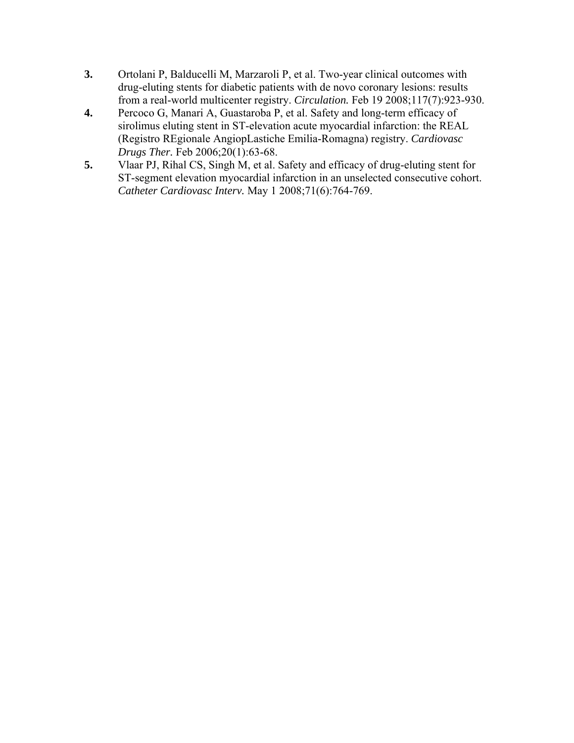- **3.** Ortolani P, Balducelli M, Marzaroli P, et al. Two-year clinical outcomes with drug-eluting stents for diabetic patients with de novo coronary lesions: results from a real-world multicenter registry. *Circulation.* Feb 19 2008;117(7):923-930.
- **4.** Percoco G, Manari A, Guastaroba P, et al. Safety and long-term efficacy of sirolimus eluting stent in ST-elevation acute myocardial infarction: the REAL (Registro REgionale AngiopLastiche Emilia-Romagna) registry. *Cardiovasc Drugs Ther.* Feb 2006;20(1):63-68.
- **5.** Vlaar PJ, Rihal CS, Singh M, et al. Safety and efficacy of drug-eluting stent for ST-segment elevation myocardial infarction in an unselected consecutive cohort. *Catheter Cardiovasc Interv.* May 1 2008;71(6):764-769.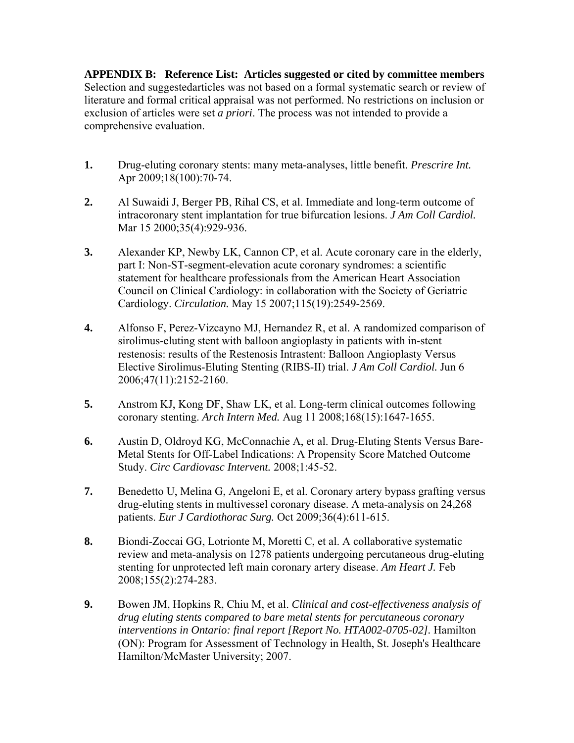**APPENDIX B: Reference List: Articles suggested or cited by committee members** Selection and suggestedarticles was not based on a formal systematic search or review of literature and formal critical appraisal was not performed. No restrictions on inclusion or exclusion of articles were set *a priori*. The process was not intended to provide a comprehensive evaluation.

- **1.** Drug-eluting coronary stents: many meta-analyses, little benefit. *Prescrire Int.*  Apr 2009;18(100):70-74.
- **2.** Al Suwaidi J, Berger PB, Rihal CS, et al. Immediate and long-term outcome of intracoronary stent implantation for true bifurcation lesions. *J Am Coll Cardiol.*  Mar 15 2000;35(4):929-936.
- **3.** Alexander KP, Newby LK, Cannon CP, et al. Acute coronary care in the elderly, part I: Non-ST-segment-elevation acute coronary syndromes: a scientific statement for healthcare professionals from the American Heart Association Council on Clinical Cardiology: in collaboration with the Society of Geriatric Cardiology. *Circulation.* May 15 2007;115(19):2549-2569.
- **4.** Alfonso F, Perez-Vizcayno MJ, Hernandez R, et al. A randomized comparison of sirolimus-eluting stent with balloon angioplasty in patients with in-stent restenosis: results of the Restenosis Intrastent: Balloon Angioplasty Versus Elective Sirolimus-Eluting Stenting (RIBS-II) trial. *J Am Coll Cardiol.* Jun 6 2006;47(11):2152-2160.
- **5.** Anstrom KJ, Kong DF, Shaw LK, et al. Long-term clinical outcomes following coronary stenting. *Arch Intern Med.* Aug 11 2008;168(15):1647-1655.
- **6.** Austin D, Oldroyd KG, McConnachie A, et al. Drug-Eluting Stents Versus Bare-Metal Stents for Off-Label Indications: A Propensity Score Matched Outcome Study. *Circ Cardiovasc Intervent.* 2008;1:45-52.
- **7.** Benedetto U, Melina G, Angeloni E, et al. Coronary artery bypass grafting versus drug-eluting stents in multivessel coronary disease. A meta-analysis on 24,268 patients. *Eur J Cardiothorac Surg.* Oct 2009;36(4):611-615.
- **8.** Biondi-Zoccai GG, Lotrionte M, Moretti C, et al. A collaborative systematic review and meta-analysis on 1278 patients undergoing percutaneous drug-eluting stenting for unprotected left main coronary artery disease. *Am Heart J.* Feb 2008;155(2):274-283.
- **9.** Bowen JM, Hopkins R, Chiu M, et al. *Clinical and cost-effectiveness analysis of drug eluting stents compared to bare metal stents for percutaneous coronary interventions in Ontario: final report [Report No. HTA002-0705-02].* Hamilton (ON): Program for Assessment of Technology in Health, St. Joseph's Healthcare Hamilton/McMaster University; 2007.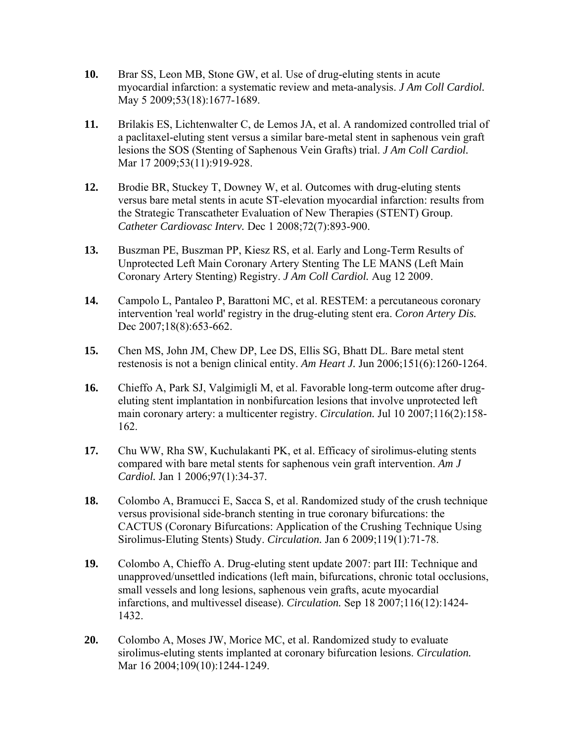- **10.** Brar SS, Leon MB, Stone GW, et al. Use of drug-eluting stents in acute myocardial infarction: a systematic review and meta-analysis. *J Am Coll Cardiol.*  May 5 2009;53(18):1677-1689.
- **11.** Brilakis ES, Lichtenwalter C, de Lemos JA, et al. A randomized controlled trial of a paclitaxel-eluting stent versus a similar bare-metal stent in saphenous vein graft lesions the SOS (Stenting of Saphenous Vein Grafts) trial. *J Am Coll Cardiol.*  Mar 17 2009;53(11):919-928.
- **12.** Brodie BR, Stuckey T, Downey W, et al. Outcomes with drug-eluting stents versus bare metal stents in acute ST-elevation myocardial infarction: results from the Strategic Transcatheter Evaluation of New Therapies (STENT) Group. *Catheter Cardiovasc Interv.* Dec 1 2008;72(7):893-900.
- **13.** Buszman PE, Buszman PP, Kiesz RS, et al. Early and Long-Term Results of Unprotected Left Main Coronary Artery Stenting The LE MANS (Left Main Coronary Artery Stenting) Registry. *J Am Coll Cardiol.* Aug 12 2009.
- **14.** Campolo L, Pantaleo P, Barattoni MC, et al. RESTEM: a percutaneous coronary intervention 'real world' registry in the drug-eluting stent era. *Coron Artery Dis.*  Dec 2007;18(8):653-662.
- **15.** Chen MS, John JM, Chew DP, Lee DS, Ellis SG, Bhatt DL. Bare metal stent restenosis is not a benign clinical entity. *Am Heart J.* Jun 2006;151(6):1260-1264.
- **16.** Chieffo A, Park SJ, Valgimigli M, et al. Favorable long-term outcome after drugeluting stent implantation in nonbifurcation lesions that involve unprotected left main coronary artery: a multicenter registry. *Circulation.* Jul 10 2007;116(2):158- 162.
- **17.** Chu WW, Rha SW, Kuchulakanti PK, et al. Efficacy of sirolimus-eluting stents compared with bare metal stents for saphenous vein graft intervention. *Am J Cardiol.* Jan 1 2006;97(1):34-37.
- **18.** Colombo A, Bramucci E, Sacca S, et al. Randomized study of the crush technique versus provisional side-branch stenting in true coronary bifurcations: the CACTUS (Coronary Bifurcations: Application of the Crushing Technique Using Sirolimus-Eluting Stents) Study. *Circulation.* Jan 6 2009;119(1):71-78.
- **19.** Colombo A, Chieffo A. Drug-eluting stent update 2007: part III: Technique and unapproved/unsettled indications (left main, bifurcations, chronic total occlusions, small vessels and long lesions, saphenous vein grafts, acute myocardial infarctions, and multivessel disease). *Circulation.* Sep 18 2007;116(12):1424- 1432.
- **20.** Colombo A, Moses JW, Morice MC, et al. Randomized study to evaluate sirolimus-eluting stents implanted at coronary bifurcation lesions. *Circulation.*  Mar 16 2004;109(10):1244-1249.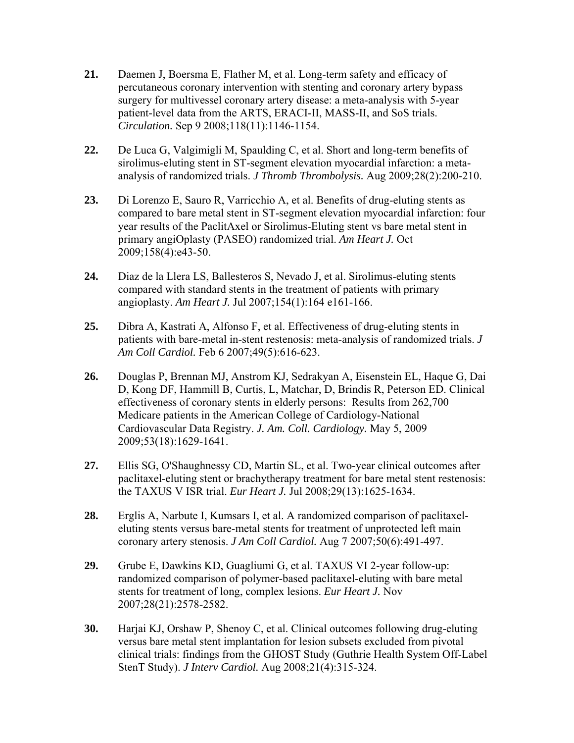- **21.** Daemen J, Boersma E, Flather M, et al. Long-term safety and efficacy of percutaneous coronary intervention with stenting and coronary artery bypass surgery for multivessel coronary artery disease: a meta-analysis with 5-year patient-level data from the ARTS, ERACI-II, MASS-II, and SoS trials. *Circulation.* Sep 9 2008;118(11):1146-1154.
- **22.** De Luca G, Valgimigli M, Spaulding C, et al. Short and long-term benefits of sirolimus-eluting stent in ST-segment elevation myocardial infarction: a metaanalysis of randomized trials. *J Thromb Thrombolysis.* Aug 2009;28(2):200-210.
- **23.** Di Lorenzo E, Sauro R, Varricchio A, et al. Benefits of drug-eluting stents as compared to bare metal stent in ST-segment elevation myocardial infarction: four year results of the PaclitAxel or Sirolimus-Eluting stent vs bare metal stent in primary angiOplasty (PASEO) randomized trial. *Am Heart J.* Oct 2009;158(4):e43-50.
- **24.** Diaz de la Llera LS, Ballesteros S, Nevado J, et al. Sirolimus-eluting stents compared with standard stents in the treatment of patients with primary angioplasty. *Am Heart J.* Jul 2007;154(1):164 e161-166.
- **25.** Dibra A, Kastrati A, Alfonso F, et al. Effectiveness of drug-eluting stents in patients with bare-metal in-stent restenosis: meta-analysis of randomized trials. *J Am Coll Cardiol.* Feb 6 2007;49(5):616-623.
- **26.** Douglas P, Brennan MJ, Anstrom KJ, Sedrakyan A, Eisenstein EL, Haque G, Dai D, Kong DF, Hammill B, Curtis, L, Matchar, D, Brindis R, Peterson ED. Clinical effectiveness of coronary stents in elderly persons: Results from 262,700 Medicare patients in the American College of Cardiology-National Cardiovascular Data Registry. *J. Am. Coll. Cardiology.* May 5, 2009 2009;53(18):1629-1641.
- **27.** Ellis SG, O'Shaughnessy CD, Martin SL, et al. Two-year clinical outcomes after paclitaxel-eluting stent or brachytherapy treatment for bare metal stent restenosis: the TAXUS V ISR trial. *Eur Heart J.* Jul 2008;29(13):1625-1634.
- **28.** Erglis A, Narbute I, Kumsars I, et al. A randomized comparison of paclitaxeleluting stents versus bare-metal stents for treatment of unprotected left main coronary artery stenosis. *J Am Coll Cardiol.* Aug 7 2007;50(6):491-497.
- **29.** Grube E, Dawkins KD, Guagliumi G, et al. TAXUS VI 2-year follow-up: randomized comparison of polymer-based paclitaxel-eluting with bare metal stents for treatment of long, complex lesions. *Eur Heart J.* Nov 2007;28(21):2578-2582.
- **30.** Harjai KJ, Orshaw P, Shenoy C, et al. Clinical outcomes following drug-eluting versus bare metal stent implantation for lesion subsets excluded from pivotal clinical trials: findings from the GHOST Study (Guthrie Health System Off-Label StenT Study). *J Interv Cardiol.* Aug 2008;21(4):315-324.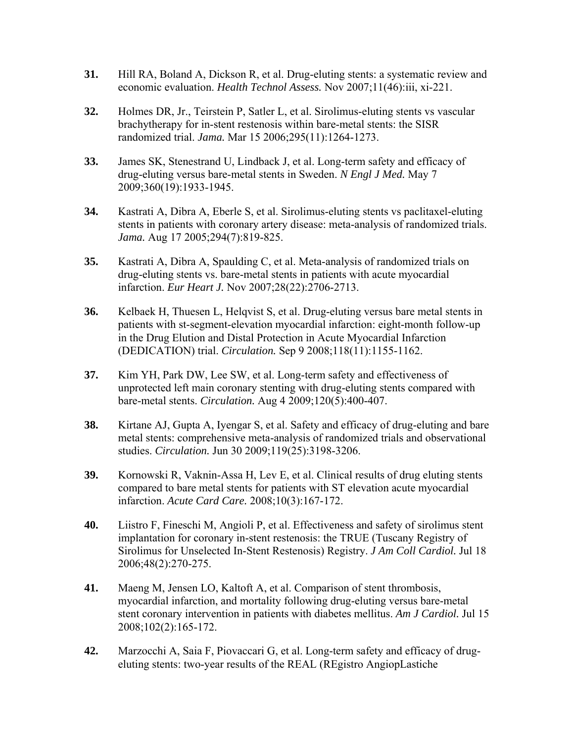- **31.** Hill RA, Boland A, Dickson R, et al. Drug-eluting stents: a systematic review and economic evaluation. *Health Technol Assess.* Nov 2007;11(46):iii, xi-221.
- **32.** Holmes DR, Jr., Teirstein P, Satler L, et al. Sirolimus-eluting stents vs vascular brachytherapy for in-stent restenosis within bare-metal stents: the SISR randomized trial. *Jama.* Mar 15 2006;295(11):1264-1273.
- **33.** James SK, Stenestrand U, Lindback J, et al. Long-term safety and efficacy of drug-eluting versus bare-metal stents in Sweden. *N Engl J Med.* May 7 2009;360(19):1933-1945.
- **34.** Kastrati A, Dibra A, Eberle S, et al. Sirolimus-eluting stents vs paclitaxel-eluting stents in patients with coronary artery disease: meta-analysis of randomized trials. *Jama.* Aug 17 2005;294(7):819-825.
- **35.** Kastrati A, Dibra A, Spaulding C, et al. Meta-analysis of randomized trials on drug-eluting stents vs. bare-metal stents in patients with acute myocardial infarction. *Eur Heart J.* Nov 2007;28(22):2706-2713.
- **36.** Kelbaek H, Thuesen L, Helqvist S, et al. Drug-eluting versus bare metal stents in patients with st-segment-elevation myocardial infarction: eight-month follow-up in the Drug Elution and Distal Protection in Acute Myocardial Infarction (DEDICATION) trial. *Circulation.* Sep 9 2008;118(11):1155-1162.
- **37.** Kim YH, Park DW, Lee SW, et al. Long-term safety and effectiveness of unprotected left main coronary stenting with drug-eluting stents compared with bare-metal stents. *Circulation.* Aug 4 2009;120(5):400-407.
- **38.** Kirtane AJ, Gupta A, Iyengar S, et al. Safety and efficacy of drug-eluting and bare metal stents: comprehensive meta-analysis of randomized trials and observational studies. *Circulation.* Jun 30 2009;119(25):3198-3206.
- **39.** Kornowski R, Vaknin-Assa H, Lev E, et al. Clinical results of drug eluting stents compared to bare metal stents for patients with ST elevation acute myocardial infarction. *Acute Card Care.* 2008;10(3):167-172.
- **40.** Liistro F, Fineschi M, Angioli P, et al. Effectiveness and safety of sirolimus stent implantation for coronary in-stent restenosis: the TRUE (Tuscany Registry of Sirolimus for Unselected In-Stent Restenosis) Registry. *J Am Coll Cardiol.* Jul 18 2006;48(2):270-275.
- **41.** Maeng M, Jensen LO, Kaltoft A, et al. Comparison of stent thrombosis, myocardial infarction, and mortality following drug-eluting versus bare-metal stent coronary intervention in patients with diabetes mellitus. *Am J Cardiol.* Jul 15 2008;102(2):165-172.
- **42.** Marzocchi A, Saia F, Piovaccari G, et al. Long-term safety and efficacy of drugeluting stents: two-year results of the REAL (REgistro AngiopLastiche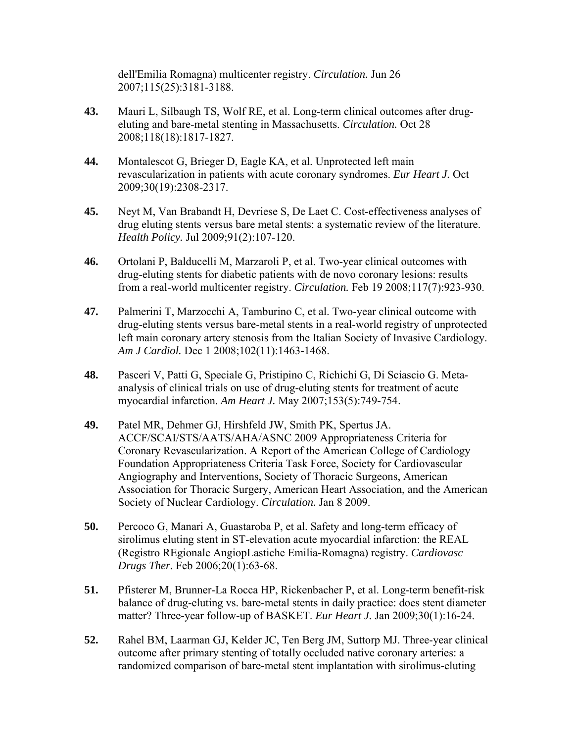dell'Emilia Romagna) multicenter registry. *Circulation.* Jun 26 2007;115(25):3181-3188.

- **43.** Mauri L, Silbaugh TS, Wolf RE, et al. Long-term clinical outcomes after drugeluting and bare-metal stenting in Massachusetts. *Circulation.* Oct 28 2008;118(18):1817-1827.
- **44.** Montalescot G, Brieger D, Eagle KA, et al. Unprotected left main revascularization in patients with acute coronary syndromes. *Eur Heart J.* Oct 2009;30(19):2308-2317.
- **45.** Neyt M, Van Brabandt H, Devriese S, De Laet C. Cost-effectiveness analyses of drug eluting stents versus bare metal stents: a systematic review of the literature. *Health Policy.* Jul 2009;91(2):107-120.
- **46.** Ortolani P, Balducelli M, Marzaroli P, et al. Two-year clinical outcomes with drug-eluting stents for diabetic patients with de novo coronary lesions: results from a real-world multicenter registry. *Circulation.* Feb 19 2008;117(7):923-930.
- **47.** Palmerini T, Marzocchi A, Tamburino C, et al. Two-year clinical outcome with drug-eluting stents versus bare-metal stents in a real-world registry of unprotected left main coronary artery stenosis from the Italian Society of Invasive Cardiology. *Am J Cardiol.* Dec 1 2008;102(11):1463-1468.
- **48.** Pasceri V, Patti G, Speciale G, Pristipino C, Richichi G, Di Sciascio G. Metaanalysis of clinical trials on use of drug-eluting stents for treatment of acute myocardial infarction. *Am Heart J.* May 2007;153(5):749-754.
- **49.** Patel MR, Dehmer GJ, Hirshfeld JW, Smith PK, Spertus JA. ACCF/SCAI/STS/AATS/AHA/ASNC 2009 Appropriateness Criteria for Coronary Revascularization. A Report of the American College of Cardiology Foundation Appropriateness Criteria Task Force, Society for Cardiovascular Angiography and Interventions, Society of Thoracic Surgeons, American Association for Thoracic Surgery, American Heart Association, and the American Society of Nuclear Cardiology. *Circulation.* Jan 8 2009.
- **50.** Percoco G, Manari A, Guastaroba P, et al. Safety and long-term efficacy of sirolimus eluting stent in ST-elevation acute myocardial infarction: the REAL (Registro REgionale AngiopLastiche Emilia-Romagna) registry. *Cardiovasc Drugs Ther.* Feb 2006;20(1):63-68.
- **51.** Pfisterer M, Brunner-La Rocca HP, Rickenbacher P, et al. Long-term benefit-risk balance of drug-eluting vs. bare-metal stents in daily practice: does stent diameter matter? Three-year follow-up of BASKET. *Eur Heart J. Jan 2009*;30(1):16-24.
- **52.** Rahel BM, Laarman GJ, Kelder JC, Ten Berg JM, Suttorp MJ. Three-year clinical outcome after primary stenting of totally occluded native coronary arteries: a randomized comparison of bare-metal stent implantation with sirolimus-eluting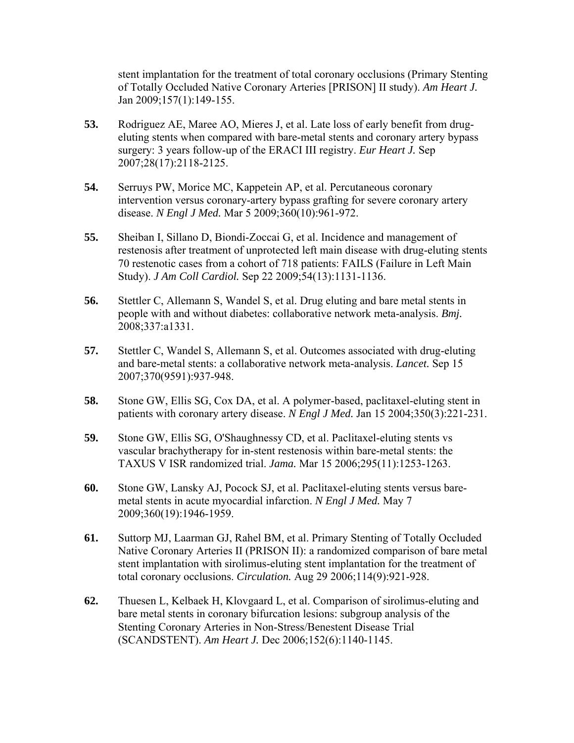stent implantation for the treatment of total coronary occlusions (Primary Stenting of Totally Occluded Native Coronary Arteries [PRISON] II study). *Am Heart J.*  Jan 2009;157(1):149-155.

- **53.** Rodriguez AE, Maree AO, Mieres J, et al. Late loss of early benefit from drugeluting stents when compared with bare-metal stents and coronary artery bypass surgery: 3 years follow-up of the ERACI III registry. *Eur Heart J.* Sep 2007;28(17):2118-2125.
- **54.** Serruys PW, Morice MC, Kappetein AP, et al. Percutaneous coronary intervention versus coronary-artery bypass grafting for severe coronary artery disease. *N Engl J Med.* Mar 5 2009;360(10):961-972.
- **55.** Sheiban I, Sillano D, Biondi-Zoccai G, et al. Incidence and management of restenosis after treatment of unprotected left main disease with drug-eluting stents 70 restenotic cases from a cohort of 718 patients: FAILS (Failure in Left Main Study). *J Am Coll Cardiol.* Sep 22 2009;54(13):1131-1136.
- **56.** Stettler C, Allemann S, Wandel S, et al. Drug eluting and bare metal stents in people with and without diabetes: collaborative network meta-analysis. *Bmj.*  2008;337:a1331.
- **57.** Stettler C, Wandel S, Allemann S, et al. Outcomes associated with drug-eluting and bare-metal stents: a collaborative network meta-analysis. *Lancet.* Sep 15 2007;370(9591):937-948.
- **58.** Stone GW, Ellis SG, Cox DA, et al. A polymer-based, paclitaxel-eluting stent in patients with coronary artery disease. *N Engl J Med.* Jan 15 2004;350(3):221-231.
- **59.** Stone GW, Ellis SG, O'Shaughnessy CD, et al. Paclitaxel-eluting stents vs vascular brachytherapy for in-stent restenosis within bare-metal stents: the TAXUS V ISR randomized trial. *Jama.* Mar 15 2006;295(11):1253-1263.
- **60.** Stone GW, Lansky AJ, Pocock SJ, et al. Paclitaxel-eluting stents versus baremetal stents in acute myocardial infarction. *N Engl J Med.* May 7 2009;360(19):1946-1959.
- **61.** Suttorp MJ, Laarman GJ, Rahel BM, et al. Primary Stenting of Totally Occluded Native Coronary Arteries II (PRISON II): a randomized comparison of bare metal stent implantation with sirolimus-eluting stent implantation for the treatment of total coronary occlusions. *Circulation.* Aug 29 2006;114(9):921-928.
- **62.** Thuesen L, Kelbaek H, Klovgaard L, et al. Comparison of sirolimus-eluting and bare metal stents in coronary bifurcation lesions: subgroup analysis of the Stenting Coronary Arteries in Non-Stress/Benestent Disease Trial (SCANDSTENT). *Am Heart J.* Dec 2006;152(6):1140-1145.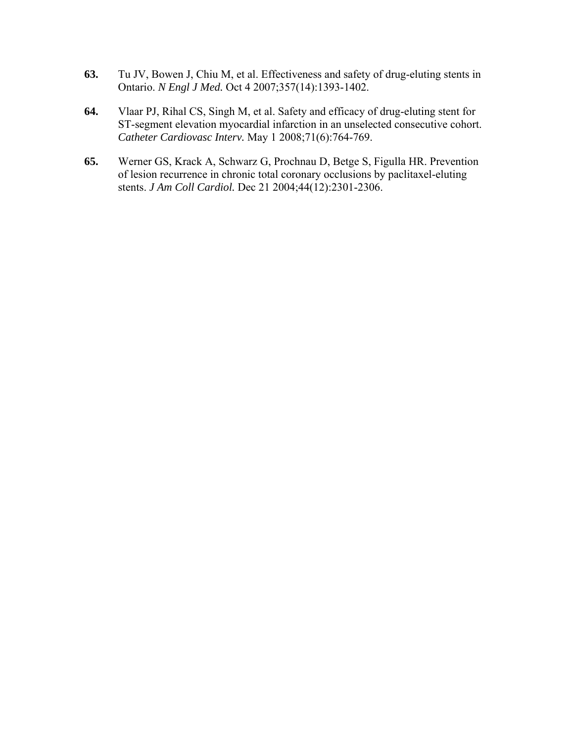- **63.** Tu JV, Bowen J, Chiu M, et al. Effectiveness and safety of drug-eluting stents in Ontario. *N Engl J Med.* Oct 4 2007;357(14):1393-1402.
- **64.** Vlaar PJ, Rihal CS, Singh M, et al. Safety and efficacy of drug-eluting stent for ST-segment elevation myocardial infarction in an unselected consecutive cohort. *Catheter Cardiovasc Interv.* May 1 2008;71(6):764-769.
- **65.** Werner GS, Krack A, Schwarz G, Prochnau D, Betge S, Figulla HR. Prevention of lesion recurrence in chronic total coronary occlusions by paclitaxel-eluting stents. *J Am Coll Cardiol.* Dec 21 2004;44(12):2301-2306.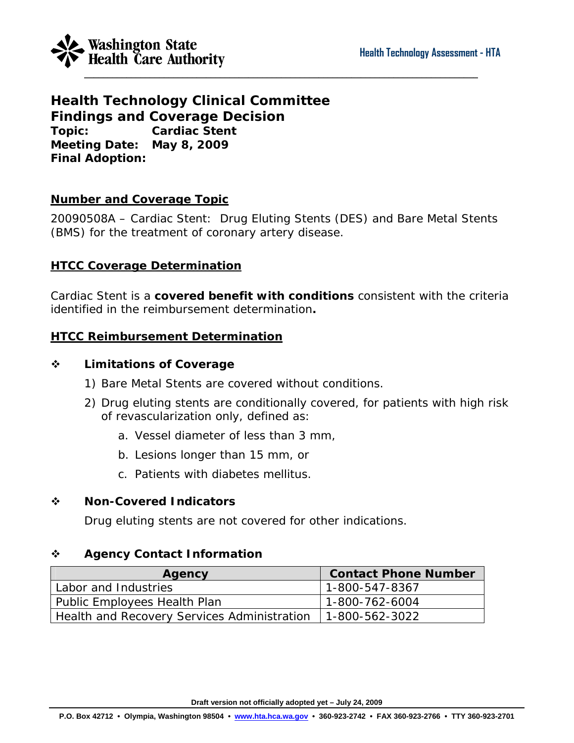

**Health Technology Clinical Committee Findings and Coverage Decision Topic: Cardiac Stent Meeting Date: May 8, 2009 Final Adoption:** 

#### **Number and Coverage Topic**

20090508A – Cardiac Stent: Drug Eluting Stents (DES) and Bare Metal Stents (BMS) for the treatment of coronary artery disease.

#### **HTCC Coverage Determination**

Cardiac Stent is a **covered benefit with conditions** consistent with the criteria identified in the reimbursement determination**.**

#### **HTCC Reimbursement Determination**

#### **Limitations of Coverage**

- 1) Bare Metal Stents are covered without conditions.
- 2) Drug eluting stents are conditionally covered, for patients with high risk of revascularization only, defined as:
	- a. Vessel diameter of less than 3 mm,
	- b. Lesions longer than 15 mm, or
	- c. Patients with diabetes mellitus.

#### **Non-Covered Indicators**

Drug eluting stents are not covered for other indications.

#### **Agency Contact Information**

| Agency                                      | <b>Contact Phone Number</b> |
|---------------------------------------------|-----------------------------|
| Labor and Industries                        | 1-800-547-8367              |
| Public Employees Health Plan                | 1-800-762-6004              |
| Health and Recovery Services Administration | 1-800-562-3022              |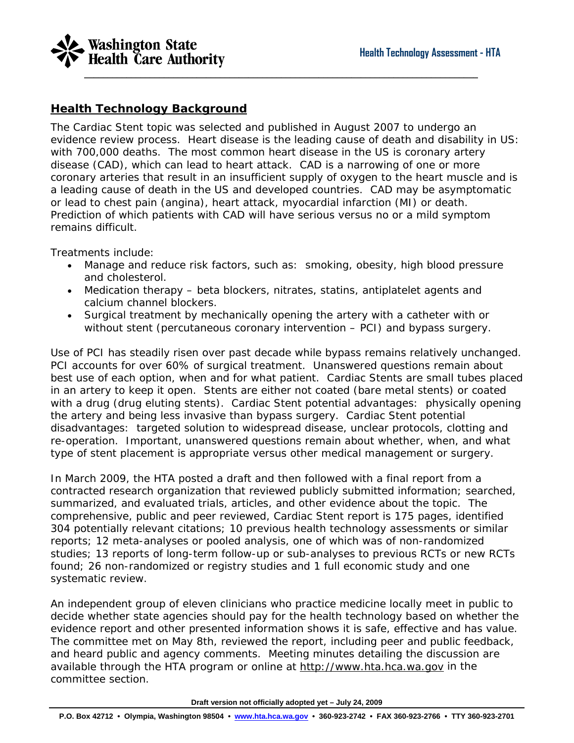

#### **Health Technology Background**

The Cardiac Stent topic was selected and published in August 2007 to undergo an evidence review process. Heart disease is the leading cause of death and disability in US: with 700,000 deaths. The most common heart disease in the US is coronary artery disease (CAD), which can lead to heart attack. CAD is a narrowing of one or more coronary arteries that result in an insufficient supply of oxygen to the heart muscle and is a leading cause of death in the US and developed countries. CAD may be asymptomatic or lead to chest pain (angina), heart attack, myocardial infarction (MI) or death. Prediction of which patients with CAD will have serious versus no or a mild symptom remains difficult.

Treatments include:

- Manage and reduce risk factors, such as: smoking, obesity, high blood pressure and cholesterol.
- Medication therapy beta blockers, nitrates, statins, antiplatelet agents and calcium channel blockers.
- Surgical treatment by mechanically opening the artery with a catheter with or without stent (percutaneous coronary intervention – PCI) and bypass surgery.

Use of PCI has steadily risen over past decade while bypass remains relatively unchanged. PCI accounts for over 60% of surgical treatment. Unanswered questions remain about best use of each option, when and for what patient. Cardiac Stents are small tubes placed in an artery to keep it open. Stents are either not coated (bare metal stents) or coated with a drug (drug eluting stents). Cardiac Stent potential advantages: physically opening the artery and being less invasive than bypass surgery. Cardiac Stent potential disadvantages: targeted solution to widespread disease, unclear protocols, clotting and re-operation. Important, unanswered questions remain about whether, when, and what type of stent placement is appropriate versus other medical management or surgery.

In March 2009, the HTA posted a draft and then followed with a final report from a contracted research organization that reviewed publicly submitted information; searched, summarized, and evaluated trials, articles, and other evidence about the topic. The comprehensive, public and peer reviewed, Cardiac Stent report is 175 pages, identified 304 potentially relevant citations; 10 previous health technology assessments or similar reports; 12 meta-analyses or pooled analysis, one of which was of non-randomized studies; 13 reports of long-term follow-up or sub-analyses to previous RCTs or new RCTs found; 26 non-randomized or registry studies and 1 full economic study and one systematic review.

An independent group of eleven clinicians who practice medicine locally meet in public to decide whether state agencies should pay for the health technology based on whether the evidence report and other presented information shows it is safe, effective and has value. The committee met on May 8th, reviewed the report, including peer and public feedback, and heard public and agency comments. Meeting minutes detailing the discussion are available through the HTA program or online at [http://www.hta.hca.wa.gov](http://www.hta.hca.wa.gov/) in the committee section.

**Draft version not officially adopted yet – July 24, 2009**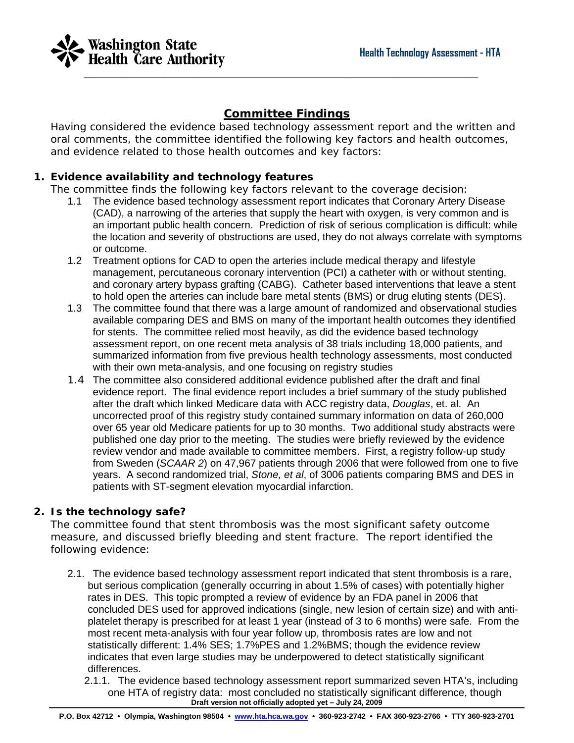

#### **Committee Findings**

Having considered the evidence based technology assessment report and the written and oral comments, the committee identified the following key factors and health outcomes, and evidence related to those health outcomes and key factors:

#### **1. Evidence availability and technology features**

The committee finds the following key factors relevant to the coverage decision:

- 1.1 The evidence based technology assessment report indicates that Coronary Artery Disease (CAD), a narrowing of the arteries that supply the heart with oxygen, is very common and is an important public health concern. Prediction of risk of serious complication is difficult: while the location and severity of obstructions are used, they do not always correlate with symptoms or outcome.
- 1.2 Treatment options for CAD to open the arteries include medical therapy and lifestyle management, percutaneous coronary intervention (PCI) a catheter with or without stenting, and coronary artery bypass grafting (CABG). Catheter based interventions that leave a stent to hold open the arteries can include bare metal stents (BMS) or drug eluting stents (DES).
- 1.3 The committee found that there was a large amount of randomized and observational studies available comparing DES and BMS on many of the important health outcomes they identified for stents. The committee relied most heavily, as did the evidence based technology assessment report, on one recent meta analysis of 38 trials including 18,000 patients, and summarized information from five previous health technology assessments, most conducted with their own meta-analysis, and one focusing on registry studies
- 1.4 The committee also considered additional evidence published after the draft and final evidence report. The final evidence report includes a brief summary of the study published after the draft which linked Medicare data with ACC registry data, *Douglas*, et. al. An uncorrected proof of this registry study contained summary information on data of 260,000 over 65 year old Medicare patients for up to 30 months. Two additional study abstracts were published one day prior to the meeting. The studies were briefly reviewed by the evidence review vendor and made available to committee members. First, a registry follow-up study from Sweden (*SCAAR 2*) on 47,967 patients through 2006 that were followed from one to five years. A second randomized trial, *Stone, et al*, of 3006 patients comparing BMS and DES in patients with ST-segment elevation myocardial infarction.

#### **2. Is the technology safe?**

The committee found that stent thrombosis was the most significant safety outcome measure, and discussed briefly bleeding and stent fracture. The report identified the following evidence:

- 2.1. The evidence based technology assessment report indicated that stent thrombosis is a rare, but serious complication (generally occurring in about 1.5% of cases) with potentially higher rates in DES. This topic prompted a review of evidence by an FDA panel in 2006 that concluded DES used for approved indications (single, new lesion of certain size) and with antiplatelet therapy is prescribed for at least 1 year (instead of 3 to 6 months) were safe. From the most recent meta-analysis with four year follow up, thrombosis rates are low and not statistically different: 1.4% SES; 1.7%PES and 1.2%BMS; though the evidence review indicates that even large studies may be underpowered to detect statistically significant differences.
	- **Draft version not officially adopted yet July 24, 2009**  2.1.1. The evidence based technology assessment report summarized seven HTA's, including one HTA of registry data: most concluded no statistically significant difference, though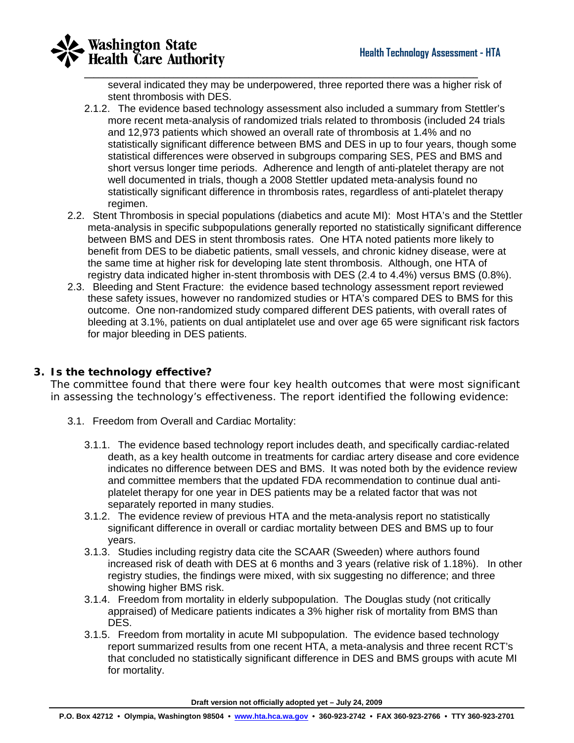

several indicated they may be underpowered, three reported there was a higher risk of stent thrombosis with DES.

- 2.1.2. The evidence based technology assessment also included a summary from Stettler's more recent meta-analysis of randomized trials related to thrombosis (included 24 trials and 12,973 patients which showed an overall rate of thrombosis at 1.4% and no statistically significant difference between BMS and DES in up to four years, though some statistical differences were observed in subgroups comparing SES, PES and BMS and short versus longer time periods. Adherence and length of anti-platelet therapy are not well documented in trials, though a 2008 Stettler updated meta-analysis found no statistically significant difference in thrombosis rates, regardless of anti-platelet therapy regimen.
- 2.2. Stent Thrombosis in special populations (diabetics and acute MI): Most HTA's and the Stettler meta-analysis in specific subpopulations generally reported no statistically significant difference between BMS and DES in stent thrombosis rates. One HTA noted patients more likely to benefit from DES to be diabetic patients, small vessels, and chronic kidney disease, were at the same time at higher risk for developing late stent thrombosis. Although, one HTA of registry data indicated higher in-stent thrombosis with DES (2.4 to 4.4%) versus BMS (0.8%).
- 2.3. Bleeding and Stent Fracture: the evidence based technology assessment report reviewed these safety issues, however no randomized studies or HTA's compared DES to BMS for this outcome. One non-randomized study compared different DES patients, with overall rates of bleeding at 3.1%, patients on dual antiplatelet use and over age 65 were significant risk factors for major bleeding in DES patients.

#### **3. Is the technology effective?**

The committee found that there were four key health outcomes that were most significant in assessing the technology's effectiveness. The report identified the following evidence:

- 3.1. Freedom from Overall and Cardiac Mortality:
	- 3.1.1. The evidence based technology report includes death, and specifically cardiac-related death, as a key health outcome in treatments for cardiac artery disease and core evidence indicates no difference between DES and BMS. It was noted both by the evidence review and committee members that the updated FDA recommendation to continue dual antiplatelet therapy for one year in DES patients may be a related factor that was not separately reported in many studies.
	- 3.1.2. The evidence review of previous HTA and the meta-analysis report no statistically significant difference in overall or cardiac mortality between DES and BMS up to four years.
	- 3.1.3. Studies including registry data cite the SCAAR (Sweeden) where authors found increased risk of death with DES at 6 months and 3 years (relative risk of 1.18%). In other registry studies, the findings were mixed, with six suggesting no difference; and three showing higher BMS risk.
	- 3.1.4. Freedom from mortality in elderly subpopulation. The Douglas study (not critically appraised) of Medicare patients indicates a 3% higher risk of mortality from BMS than DES.
	- 3.1.5. Freedom from mortality in acute MI subpopulation. The evidence based technology report summarized results from one recent HTA, a meta-analysis and three recent RCT's that concluded no statistically significant difference in DES and BMS groups with acute MI for mortality.

**Draft version not officially adopted yet – July 24, 2009**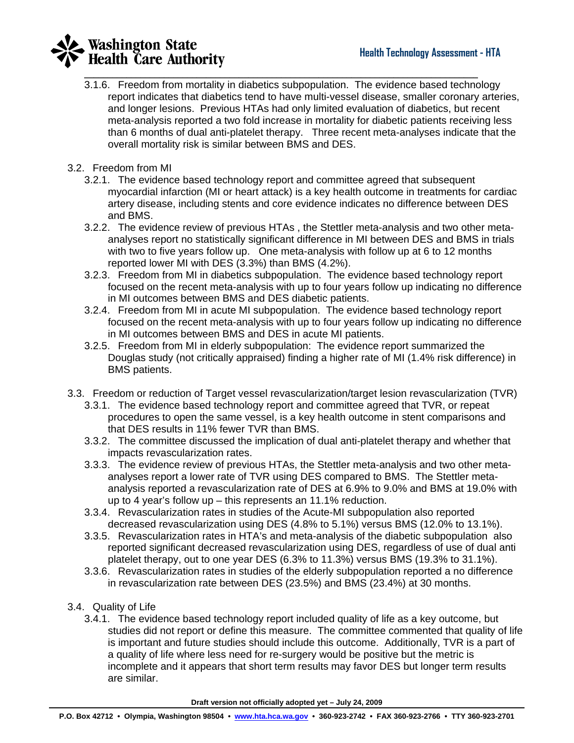# **Washington State**<br>Health Care Authority

3.1.6. Freedom from mortality in diabetics subpopulation. The evidence based technology report indicates that diabetics tend to have multi-vessel disease, smaller coronary arteries, and longer lesions. Previous HTAs had only limited evaluation of diabetics, but recent meta-analysis reported a two fold increase in mortality for diabetic patients receiving less than 6 months of dual anti-platelet therapy. Three recent meta-analyses indicate that the overall mortality risk is similar between BMS and DES.

\_\_\_\_\_\_\_\_\_\_\_\_\_\_\_\_\_\_\_\_\_\_\_\_\_\_\_\_\_\_\_\_\_\_\_\_\_\_\_\_\_\_\_\_\_\_\_\_\_\_\_\_\_\_\_\_\_\_\_\_\_\_\_\_\_\_\_\_\_\_\_\_\_\_\_\_\_\_\_\_\_\_\_\_

- 3.2. Freedom from MI
	- 3.2.1. The evidence based technology report and committee agreed that subsequent myocardial infarction (MI or heart attack) is a key health outcome in treatments for cardiac artery disease, including stents and core evidence indicates no difference between DES and BMS.
	- 3.2.2. The evidence review of previous HTAs , the Stettler meta-analysis and two other metaanalyses report no statistically significant difference in MI between DES and BMS in trials with two to five years follow up. One meta-analysis with follow up at 6 to 12 months reported lower MI with DES (3.3%) than BMS (4.2%).
	- 3.2.3. Freedom from MI in diabetics subpopulation. The evidence based technology report focused on the recent meta-analysis with up to four years follow up indicating no difference in MI outcomes between BMS and DES diabetic patients.
	- 3.2.4. Freedom from MI in acute MI subpopulation. The evidence based technology report focused on the recent meta-analysis with up to four years follow up indicating no difference in MI outcomes between BMS and DES in acute MI patients.
	- 3.2.5. Freedom from MI in elderly subpopulation: The evidence report summarized the Douglas study (not critically appraised) finding a higher rate of MI (1.4% risk difference) in BMS patients.
- 3.3. Freedom or reduction of Target vessel revascularization/target lesion revascularization (TVR)
	- 3.3.1. The evidence based technology report and committee agreed that TVR, or repeat procedures to open the same vessel, is a key health outcome in stent comparisons and that DES results in 11% fewer TVR than BMS.
	- 3.3.2. The committee discussed the implication of dual anti-platelet therapy and whether that impacts revascularization rates.
	- 3.3.3. The evidence review of previous HTAs, the Stettler meta-analysis and two other metaanalyses report a lower rate of TVR using DES compared to BMS. The Stettler metaanalysis reported a revascularization rate of DES at 6.9% to 9.0% and BMS at 19.0% with up to 4 year's follow up – this represents an 11.1% reduction.
	- 3.3.4. Revascularization rates in studies of the Acute-MI subpopulation also reported decreased revascularization using DES (4.8% to 5.1%) versus BMS (12.0% to 13.1%).
	- 3.3.5. Revascularization rates in HTA's and meta-analysis of the diabetic subpopulation also reported significant decreased revascularization using DES, regardless of use of dual anti platelet therapy, out to one year DES (6.3% to 11.3%) versus BMS (19.3% to 31.1%).
	- 3.3.6. Revascularization rates in studies of the elderly subpopulation reported a no difference in revascularization rate between DES (23.5%) and BMS (23.4%) at 30 months.
- 3.4. Quality of Life
	- 3.4.1. The evidence based technology report included quality of life as a key outcome, but studies did not report or define this measure. The committee commented that quality of life is important and future studies should include this outcome. Additionally, TVR is a part of a quality of life where less need for re-surgery would be positive but the metric is incomplete and it appears that short term results may favor DES but longer term results are similar.

**Draft version not officially adopted yet – July 24, 2009**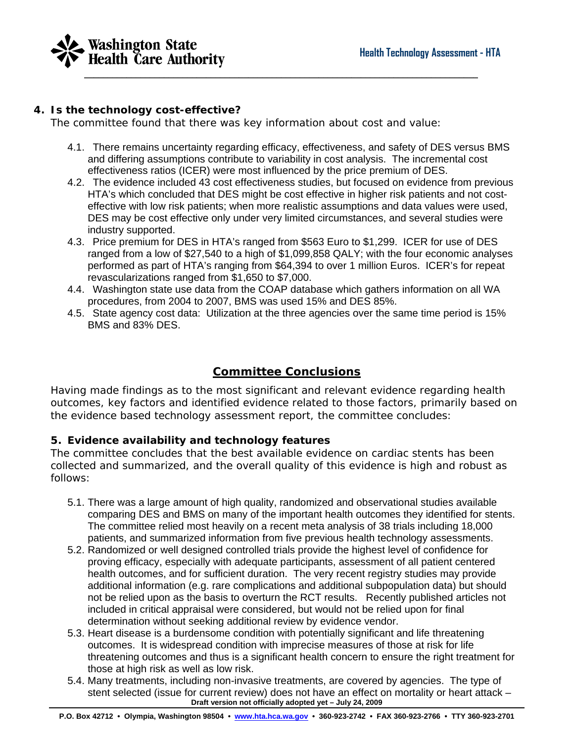

#### **4. Is the technology cost-effective?**

The committee found that there was key information about cost and value:

- 4.1. There remains uncertainty regarding efficacy, effectiveness, and safety of DES versus BMS and differing assumptions contribute to variability in cost analysis. The incremental cost effectiveness ratios (ICER) were most influenced by the price premium of DES.
- 4.2. The evidence included 43 cost effectiveness studies, but focused on evidence from previous HTA's which concluded that DES might be cost effective in higher risk patients and not costeffective with low risk patients; when more realistic assumptions and data values were used, DES may be cost effective only under very limited circumstances, and several studies were industry supported.
- 4.3. Price premium for DES in HTA's ranged from \$563 Euro to \$1,299. ICER for use of DES ranged from a low of \$27,540 to a high of \$1,099,858 QALY; with the four economic analyses performed as part of HTA's ranging from \$64,394 to over 1 million Euros. ICER's for repeat revascularizations ranged from \$1,650 to \$7,000.
- 4.4. Washington state use data from the COAP database which gathers information on all WA procedures, from 2004 to 2007, BMS was used 15% and DES 85%.
- 4.5. State agency cost data: Utilization at the three agencies over the same time period is 15% BMS and 83% DES.

#### **Committee Conclusions**

Having made findings as to the most significant and relevant evidence regarding health outcomes, key factors and identified evidence related to those factors, primarily based on the evidence based technology assessment report, the committee concludes:

#### **5. Evidence availability and technology features**

The committee concludes that the best available evidence on cardiac stents has been collected and summarized, and the overall quality of this evidence is high and robust as follows:

- 5.1. There was a large amount of high quality, randomized and observational studies available comparing DES and BMS on many of the important health outcomes they identified for stents. The committee relied most heavily on a recent meta analysis of 38 trials including 18,000 patients, and summarized information from five previous health technology assessments.
- 5.2. Randomized or well designed controlled trials provide the highest level of confidence for proving efficacy, especially with adequate participants, assessment of all patient centered health outcomes, and for sufficient duration. The very recent registry studies may provide additional information (e.g. rare complications and additional subpopulation data) but should not be relied upon as the basis to overturn the RCT results. Recently published articles not included in critical appraisal were considered, but would not be relied upon for final determination without seeking additional review by evidence vendor.
- 5.3. Heart disease is a burdensome condition with potentially significant and life threatening outcomes. It is widespread condition with imprecise measures of those at risk for life threatening outcomes and thus is a significant health concern to ensure the right treatment for those at high risk as well as low risk.
- **Draft version not officially adopted yet July 24, 2009**  5.4. Many treatments, including non-invasive treatments, are covered by agencies. The type of stent selected (issue for current review) does not have an effect on mortality or heart attack –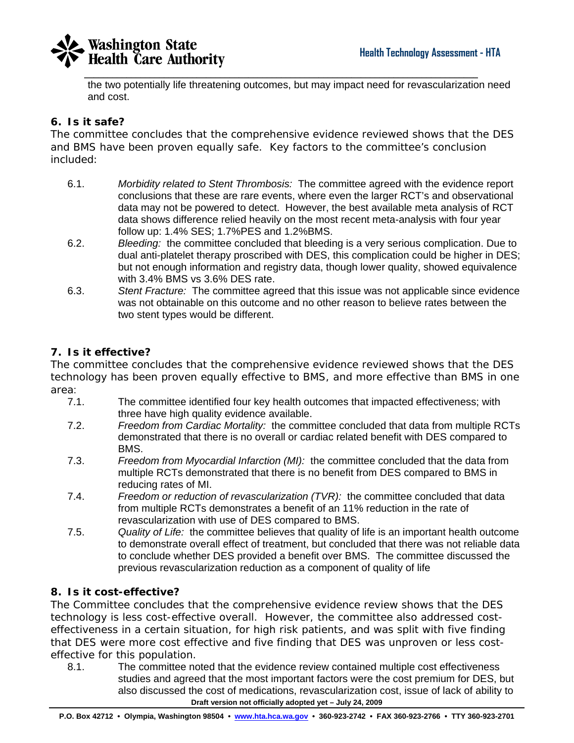



the two potentially life threatening outcomes, but may impact need for revascularization need and cost.

#### **6. Is it safe?**

The committee concludes that the comprehensive evidence reviewed shows that the DES and BMS have been proven equally safe. Key factors to the committee's conclusion included:

- 6.1. *Morbidity related to Stent Thrombosis:* The committee agreed with the evidence report conclusions that these are rare events, where even the larger RCT's and observational data may not be powered to detect. However, the best available meta analysis of RCT data shows difference relied heavily on the most recent meta-analysis with four year follow up: 1.4% SES; 1.7%PES and 1.2%BMS.
- 6.2. *Bleeding:* the committee concluded that bleeding is a very serious complication. Due to dual anti-platelet therapy proscribed with DES, this complication could be higher in DES; but not enough information and registry data, though lower quality, showed equivalence with 3.4% BMS vs 3.6% DES rate.
- 6.3. *Stent Fracture:* The committee agreed that this issue was not applicable since evidence was not obtainable on this outcome and no other reason to believe rates between the two stent types would be different.

#### **7. Is it effective?**

The committee concludes that the comprehensive evidence reviewed shows that the DES technology has been proven equally effective to BMS, and more effective than BMS in one area:

- 7.1. The committee identified four key health outcomes that impacted effectiveness; with three have high quality evidence available.
- 7.2. *Freedom from Cardiac Mortality:* the committee concluded that data from multiple RCTs demonstrated that there is no overall or cardiac related benefit with DES compared to BMS.
- 7.3. *Freedom from Myocardial Infarction (MI):* the committee concluded that the data from multiple RCTs demonstrated that there is no benefit from DES compared to BMS in reducing rates of MI.
- 7.4. *Freedom or reduction of revascularization (TVR):* the committee concluded that data from multiple RCTs demonstrates a benefit of an 11% reduction in the rate of revascularization with use of DES compared to BMS.
- 7.5. *Quality of Life:* the committee believes that quality of life is an important health outcome to demonstrate overall effect of treatment, but concluded that there was not reliable data to conclude whether DES provided a benefit over BMS. The committee discussed the previous revascularization reduction as a component of quality of life

#### **8. Is it cost-effective?**

The Committee concludes that the comprehensive evidence review shows that the DES technology is less cost-effective overall. However, the committee also addressed costeffectiveness in a certain situation, for high risk patients, and was split with five finding that DES were more cost effective and five finding that DES was unproven or less costeffective for this population.

**Draft version not officially adopted yet – July 24, 2009**  8.1. The committee noted that the evidence review contained multiple cost effectiveness studies and agreed that the most important factors were the cost premium for DES, but also discussed the cost of medications, revascularization cost, issue of lack of ability to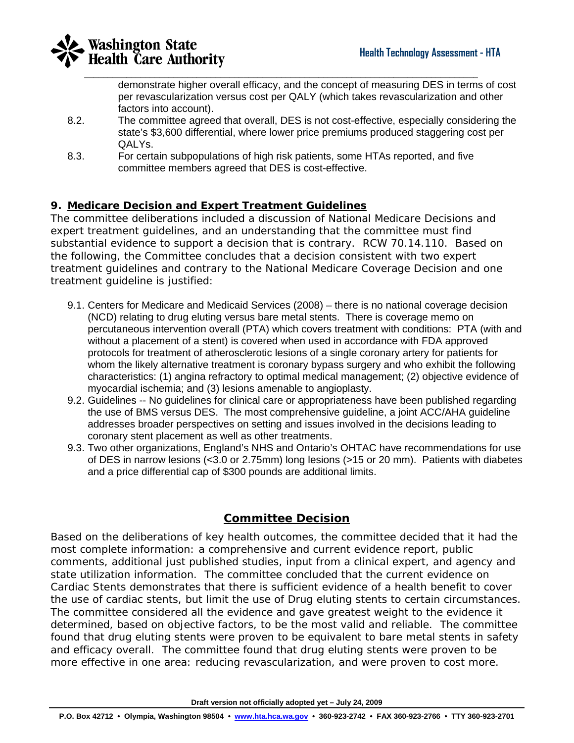

demonstrate higher overall efficacy, and the concept of measuring DES in terms of cost per revascularization versus cost per QALY (which takes revascularization and other factors into account).

- 8.2. The committee agreed that overall, DES is not cost-effective, especially considering the state's \$3,600 differential, where lower price premiums produced staggering cost per QALYs.
- 8.3. For certain subpopulations of high risk patients, some HTAs reported, and five committee members agreed that DES is cost-effective.

#### **9. Medicare Decision and Expert Treatment Guidelines**

The committee deliberations included a discussion of National Medicare Decisions and expert treatment guidelines, and an understanding that the committee must find substantial evidence to support a decision that is contrary. RCW 70.14.110. Based on the following, the Committee concludes that a decision consistent with two expert treatment guidelines and contrary to the National Medicare Coverage Decision and one treatment guideline is justified:

- 9.1. Centers for Medicare and Medicaid Services (2008) there is no national coverage decision (NCD) relating to drug eluting versus bare metal stents. There is coverage memo on percutaneous intervention overall (PTA) which covers treatment with conditions: PTA (with and without a placement of a stent) is covered when used in accordance with FDA approved protocols for treatment of atherosclerotic lesions of a single coronary artery for patients for whom the likely alternative treatment is coronary bypass surgery and who exhibit the following characteristics: (1) angina refractory to optimal medical management; (2) objective evidence of myocardial ischemia; and (3) lesions amenable to angioplasty.
- 9.2. Guidelines -- No guidelines for clinical care or appropriateness have been published regarding the use of BMS versus DES. The most comprehensive guideline, a joint ACC/AHA guideline addresses broader perspectives on setting and issues involved in the decisions leading to coronary stent placement as well as other treatments.
- 9.3. Two other organizations, England's NHS and Ontario's OHTAC have recommendations for use of DES in narrow lesions (<3.0 or 2.75mm) long lesions (>15 or 20 mm). Patients with diabetes and a price differential cap of \$300 pounds are additional limits.

#### **Committee Decision**

Based on the deliberations of key health outcomes, the committee decided that it had the most complete information: a comprehensive and current evidence report, public comments, additional just published studies, input from a clinical expert, and agency and state utilization information. The committee concluded that the current evidence on Cardiac Stents demonstrates that there is sufficient evidence of a health benefit to cover the use of cardiac stents, but limit the use of Drug eluting stents to certain circumstances. The committee considered all the evidence and gave greatest weight to the evidence it determined, based on objective factors, to be the most valid and reliable. The committee found that drug eluting stents were proven to be equivalent to bare metal stents in safety and efficacy overall. The committee found that drug eluting stents were proven to be more effective in one area: reducing revascularization, and were proven to cost more.